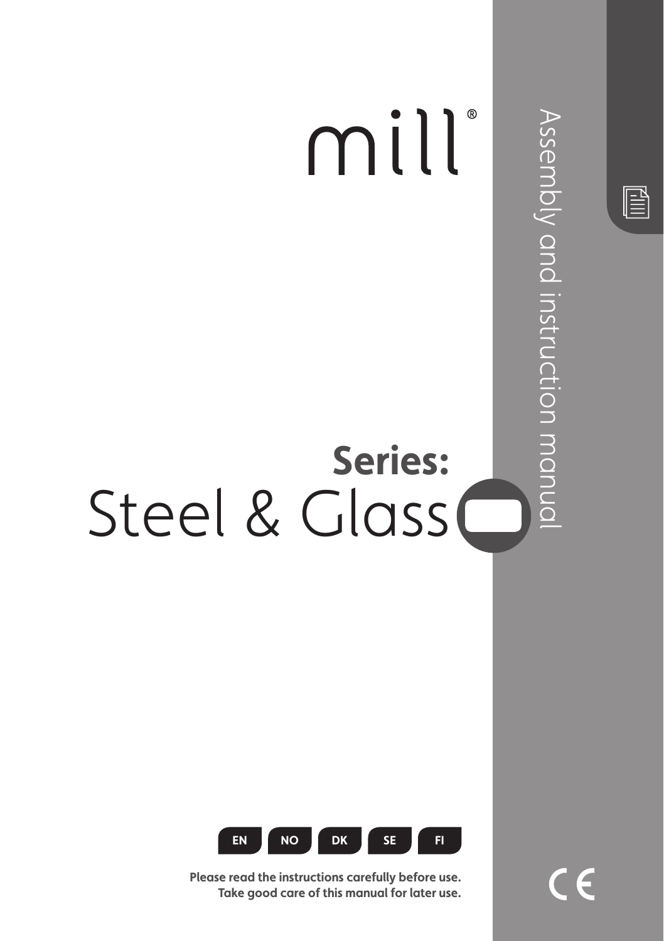



Please read the instructions carefully before use. Take aood care of this manual for later use.  $\in \epsilon$ 

 $\mathbb{\mathbb{B}}$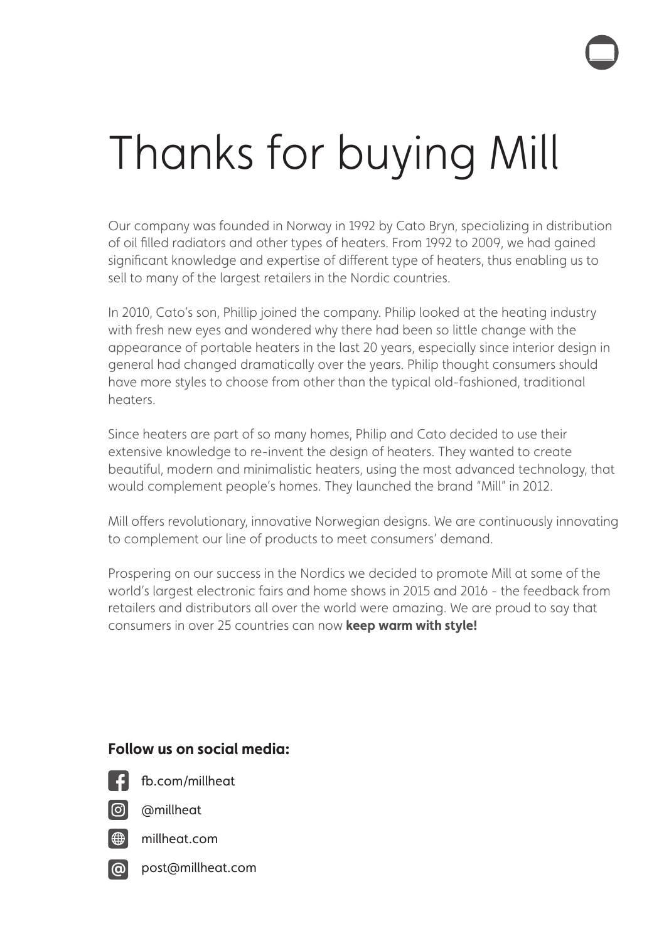# Thanks for buying Mill

Our company was founded in Norway in 1992 by Cato Bryn, specializing in distribution of oil flled radiators and other types of heaters. From 1992 to 2009, we had gained signifcant knowledge and expertise of diferent type of heaters, thus enabling us to sell to many of the largest retailers in the Nordic countries.

In 2010, Cato's son, Phillip joined the company. Philip looked at the heating industry with fresh new eyes and wondered why there had been so little change with the appearance of portable heaters in the last 20 years, especially since interior design in general had changed dramatically over the years. Philip thought consumers should have more styles to choose from other than the typical old-fashioned, traditional heaters.

Since heaters are part of so many homes, Philip and Cato decided to use their extensive knowledge to re-invent the design of heaters. They wanted to create beautiful, modern and minimalistic heaters, using the most advanced technology, that would complement people's homes. They launched the brand "Mill" in 2012.

Mill ofers revolutionary, innovative Norwegian designs. We are continuously innovating to complement our line of products to meet consumers' demand.

Prospering on our success in the Nordics we decided to promote Mill at some of the world's largest electronic fairs and home shows in 2015 and 2016 - the feedback from retailers and distributors all over the world were amazing. We are proud to say that consumers in over 25 countries can now **keep warm with style!** 

#### Follow us on social media:



fb.com/millheat

@millheat



millheat.com

**!** post@millheat.com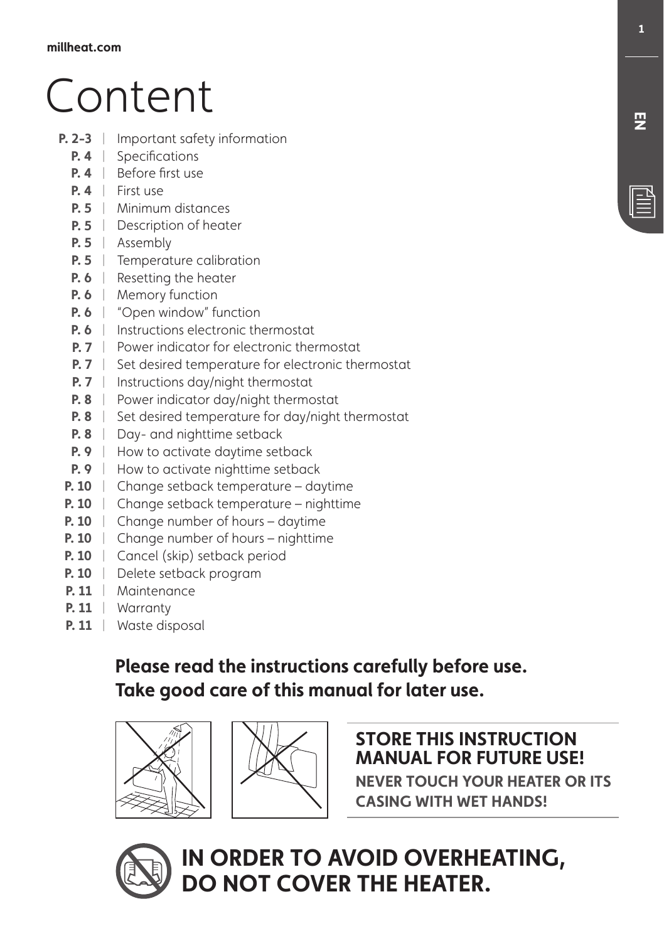# Content

- **P. 2-3** | Important safety information
	- **P. 4** Specifications
	- **P. 4** Before first use
	- **P. 4** First use
	- **P. 5** | Minimum distances
	- **P. 5** Description of heater
	- **P. 5** Assembly
	- **P. 5** Temperature calibration
	- **P. 6** Resetting the heater
	- **P. 6** | Memory function
	- **P. 6** | "Open window" function
	- **P. 6** | Instructions electronic thermostat
	- **P. 7** | Power indicator for electronic thermostat
	- **P. 7** Set desired temperature for electronic thermostat
	- **P. 7** | Instructions day/night thermostat
	- **P. 8** | Power indicator day/night thermostat
	- **P. 8**  $\parallel$  Set desired temperature for day/night thermostat
	- **P. 8** | Day- and nighttime setback
	- **P. 9** | How to activate daytime setback
	- **P. 9** | How to activate nighttime setback
	- **P. 10** | Change setback temperature daytime
	- **P. 10** | Change setback temperature nighttime
	- **P. 10** | Change number of hours daytime
	- **P. 10** | Change number of hours nighttime
	- **P. 10** | Cancel (skip) setback period
	- **P. 10** | Delete setback program
	- **P. 11** | Maintenance
	- **1** Warranty |
	- **P. 11** | Waste disposal

# Please read the instructions carefully before use. Take good care of this manual for later use.





#### **5TORE THIS INSTRUCTION MANUAL FOR FUTURE USE!**

**NEVER TOUCH YOUR HEATER OR ITS CASING WITH WET HANDS!** 

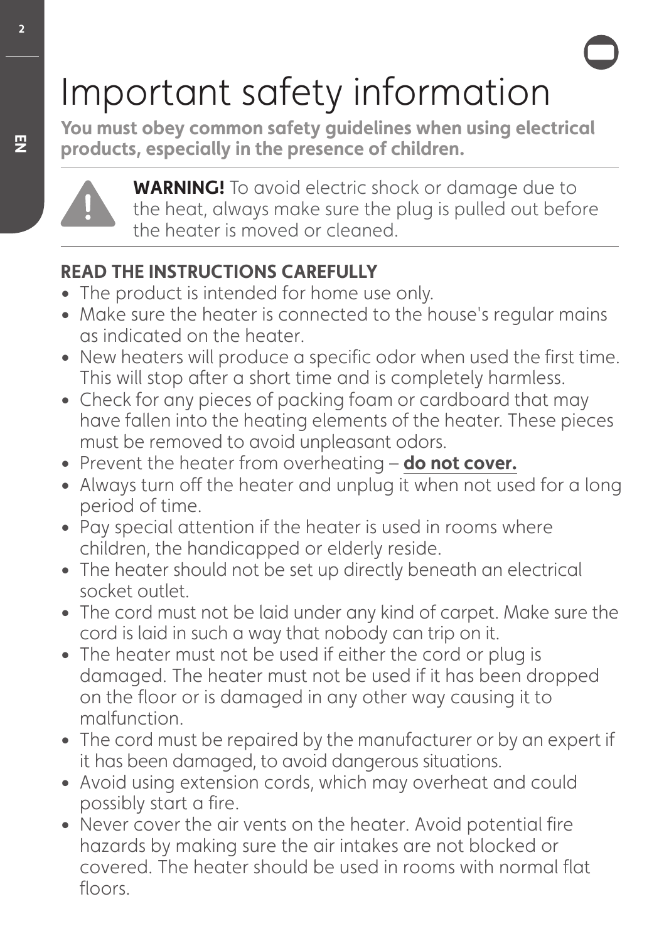# Important safety information

You must obey common safety guidelines when using electrical products, especially in the presence of children.



**WARNING!** To avoid electric shock or damage due to the heat, always make sure the plug is pulled out before the heater is moved or cleaned.

# **READ THE INSTRUCTIONS CAREFULLY**

- The product is intended for home use only.
- Make sure the heater is connected to the house's regular mains as indicated on the heater.
- New heaters will produce a specific odor when used the first time. This will stop after a short time and is completely harmless.
- Check for any pieces of packing foam or cardboard that may have fallen into the heating elements of the heater. These pieces must be removed to avoid unpleasant odors.
- Prevent the heater from overheating **do not cover.**
- Always turn off the heater and unplug it when not used for a long period of time.
- Pay special attention if the heater is used in rooms where children, the handicapped or elderly reside.
- The heater should not be set up directly beneath an electrical socket outlet.
- The cord must not be laid under any kind of carpet. Make sure the cord is laid in such a way that nobody can trip on it.
- The heater must not be used if either the cord or plug is damaged. The heater must not be used if it has been dropped on the floor or is damaged in any other way causing it to malfunction.
- The cord must be repaired by the manufacturer or by an expert if it has been damaged, to avoid dangerous situations.
- Avoid using extension cords, which may overheat and could possibly start a fire.
- Never cover the air vents on the heater. Avoid potential fire hazards by making sure the air intakes are not blocked or covered. The heater should be used in rooms with normal flat floors.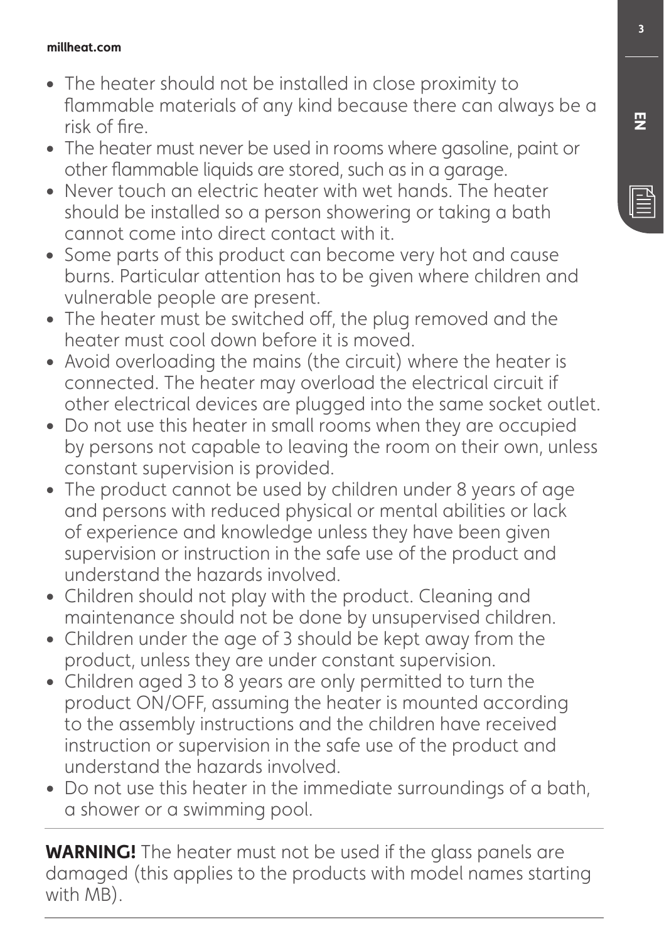#### **millheat.com**

- The heater should not be installed in close proximity to fammable materials of any kind because there can always be a risk of fre.
- The heater must never be used in rooms where gasoline, paint or other fammable liquids are stored, such as in a garage.
- Never touch an electric heater with wet hands. The heater should be installed so a person showering or taking a bath cannot come into direct contact with it.
- Some parts of this product can become very hot and cause burns. Particular attention has to be given where children and vulnerable people are present.
- The heater must be switched off, the plug removed and the heater must cool down before it is moved.
- Avoid overloading the mains (the circuit) where the heater is connected. The heater may overload the electrical circuit if other electrical devices are plugged into the same socket outlet.
- Do not use this heater in small rooms when they are occupied by persons not capable to leaving the room on their own, unless constant supervision is provided.
- The product cannot be used by children under 8 years of age and persons with reduced physical or mental abilities or lack of experience and knowledge unless they have been given supervision or instruction in the safe use of the product and understand the hazards involved.
- Children should not play with the product. Cleaning and maintenance should not be done by unsupervised children.
- Children under the age of 3 should be kept away from the product, unless they are under constant supervision.
- Children aged 3 to 8 years are only permitted to turn the product ON/OFF, assuming the heater is mounted according to the assembly instructions and the children have received instruction or supervision in the safe use of the product and understand the hazards involved.
- Do not use this heater in the immediate surroundings of a bath, a shower or a swimming pool.

**WARNING!** The heater must not be used if the glass panels are damaged (this applies to the products with model names starting with MB).

**巴**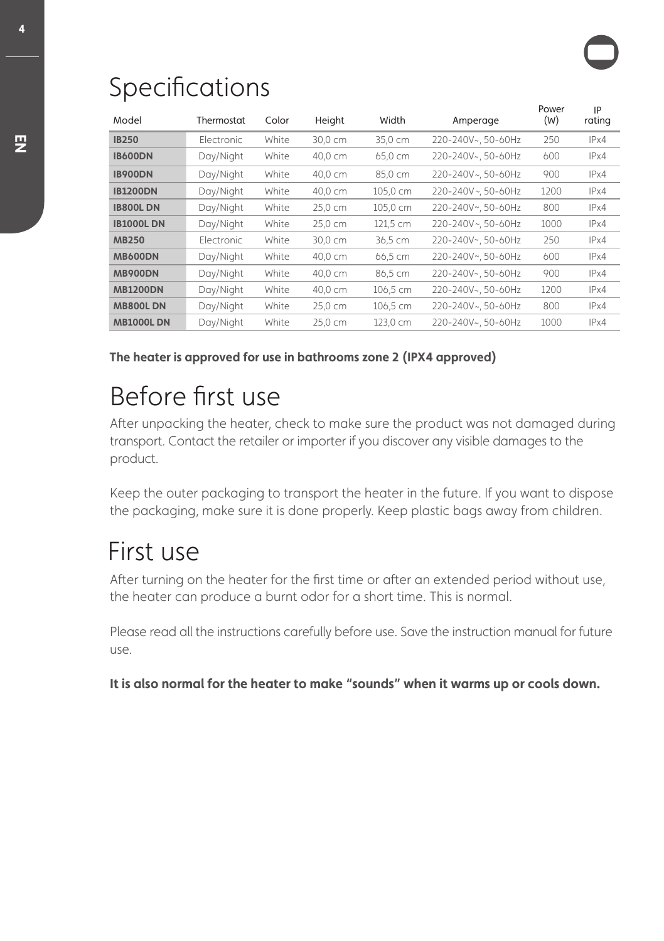# **Specifications**

| Model             | Thermostat | Color | Height  | Width    | Amperage           | Power<br>(W) | IP<br>rating |
|-------------------|------------|-------|---------|----------|--------------------|--------------|--------------|
| <b>IB250</b>      | Electronic | White | 30,0 cm | 35,0 cm  | 220-240V~, 50-60Hz | 250          | IPx4         |
| <b>IB600DN</b>    | Day/Night  | White | 40,0 cm | 65,0 cm  | 220-240V~, 50-60Hz | 600          | IPx4         |
| <b>IB900DN</b>    | Day/Night  | White | 40,0 cm | 85,0 cm  | 220-240V~, 50-60Hz | 900          | IPx4         |
| <b>IB1200DN</b>   | Day/Night  | White | 40,0 cm | 105,0 cm | 220-240V~, 50-60Hz | 1200         | IPx4         |
| <b>IB800LDN</b>   | Day/Night  | White | 25,0 cm | 105,0 cm | 220-240V~, 50-60Hz | 800          | IPx4         |
| <b>IB1000L DN</b> | Day/Night  | White | 25,0 cm | 121,5 cm | 220-240V~, 50-60Hz | 1000         | IPx4         |
| <b>MB250</b>      | Electronic | White | 30,0 cm | 36.5 cm  | 220-240V~, 50-60Hz | 250          | IPx4         |
| <b>MB600DN</b>    | Day/Night  | White | 40,0 cm | 66,5 cm  | 220-240V~, 50-60Hz | 600          | IPx4         |
| <b>MB900DN</b>    | Day/Night  | White | 40,0 cm | 86,5 cm  | 220-240V~, 50-60Hz | 900          | IPx4         |
| <b>MB1200DN</b>   | Day/Night  | White | 40,0 cm | 106,5 cm | 220-240V~, 50-60Hz | 1200         | IPx4         |
| <b>MB800LDN</b>   | Day/Night  | White | 25,0 cm | 106,5 cm | 220-240V~, 50-60Hz | 800          | IPx4         |
| <b>MB1000LDN</b>  | Day/Night  | White | 25,0 cm | 123,0 cm | 220-240V~, 50-60Hz | 1000         | IPx4         |

The heater is approved for use in bathrooms zone 2 (IPX4 approved)

# Before frst use

Afer unpacking the heater, check to make sure the product was not damaged during transport. Contact the retailer or importer if you discover any visible damages to the product.

Keep the outer packaging to transport the heater in the future. If you want to dispose the packaging, make sure it is done properly. Keep plastic bags away from children.

# First use

Afer turning on the heater for the frst time or afer an extended period without use, the heater can produce a burnt odor for a short time. This is normal.

Please read all the instructions carefully before use. Save the instruction manual for future use.

It is also normal for the heater to make "sounds" when it warms up or cools down.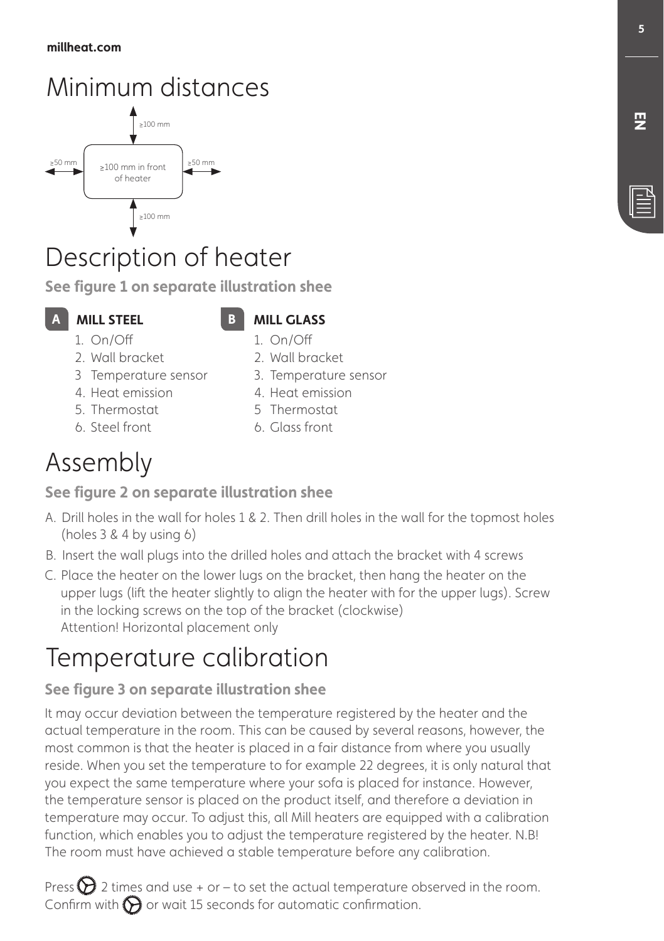# Minimum distances



# Description of heater

**See figure 1 on separate illustration shee** 

#### **MILL STEEL**

#### **MILL GLASS** 1. On/Of

- 1. On/Of 2. Wall bracket
- 3 Temperature sensor
- 4. Heat emission
- 5. Thermostat
- 6. Steel front
- 4. Heat emission 5 Thermostat

2. Wall bracket 3. Temperature sensor

6. Glass front

# Assembly

#### **See figure 2 on separate illustration shee**

- A. Drill holes in the wall for holes 1 & 2. Then drill holes in the wall for the topmost holes (holes 3 & 4 by using 6)
- ! Insert the wall plugs into the drilled holes and attach the bracket with 4 screws
- C. Place the heater on the lower lugs on the bracket, then hang the heater on the upper lugs (lift the heater slightly to align the heater with for the upper lugs). Screw in the locking screws on the top of the bracket (clockwise) Attention! Horizontal placement only

# Temperature calibration

## **See figure 3 on separate illustration shee**

It may occur deviation between the temperature registered by the heater and the actual temperature in the room. This can be caused by several reasons, however, the most common is that the heater is placed in a fair distance from where you usually reside. When you set the temperature to for example 22 degrees, it is only natural that you expect the same temperature where your sofa is placed for instance. However, the temperature sensor is placed on the product itself, and therefore a deviation in temperature may occur. To adjust this, all Mill heaters are equipped with a calibration function, which enables you to adjust the temperature registered by the heater. N.B! The room must have achieved a stable temperature before any calibration.

Press  $\sum$  2 times and use + or – to set the actual temperature observed in the room. Confirm with  $\bigodot$  or wait 15 seconds for automatic confirmation.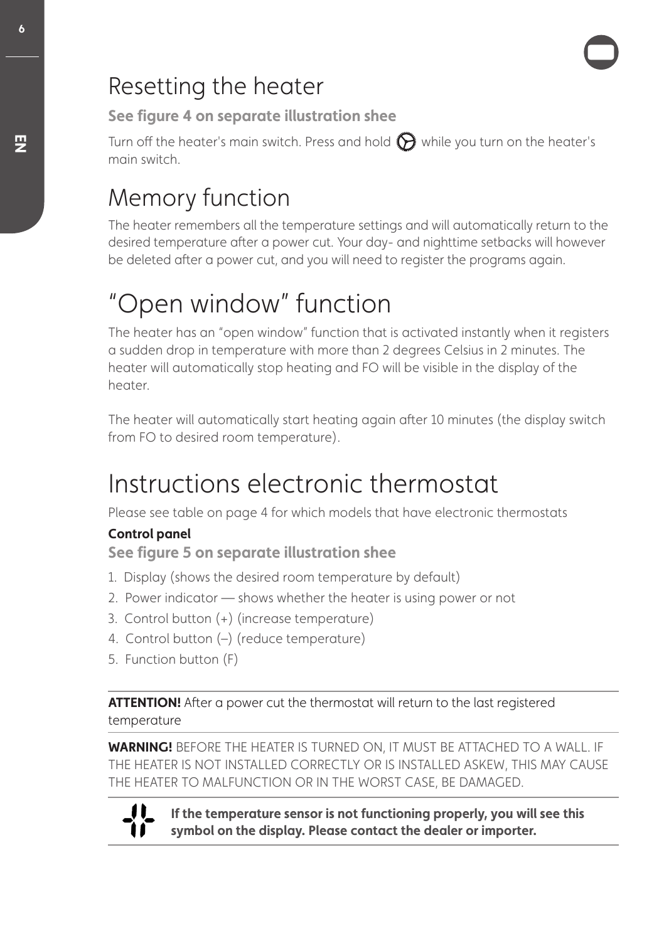# Resetting the heater

**See figure 4 on separate illustration shee** 

Turn off the heater's main switch. Press and hold  $\bigodot$  while you turn on the heater's main switch.

# Memory function

The heater remembers all the temperature settings and will automatically return to the desired temperature after a power cut. Your day- and nighttime setbacks will however be deleted after a power cut, and you will need to register the programs again.

# "Open window" function

The heater has an "open window" function that is activated instantly when it registers a sudden drop in temperature with more than 2 degrees Celsius in 2 minutes. The heater will automatically stop heating and FO will be visible in the display of the heater.

The heater will automatically start heating again afer 10 minutes (the display switch from FO to desired room temperature).

# Instructions electronic thermostat

Please see table on page 4 for which models that have electronic thermostats

#### **Control panel**

**See figure 5 on separate illustration shee** 

- 1. Display (shows the desired room temperature by default)
- 2. Power indicator shows whether the heater is using power or not
- 3. Control button (+) (increase temperature)
- 4. Control button (–) (reduce temperature)
- 5. Function button (F)

**ATTENTION!** After a power cut the thermostat will return to the last registered temperature

**WARNING!** BEFORE THE HEATER IS TURNED ON, IT MUST BE ATTACHED TO A WALL. IF THE HEATER IS NOT INSTALLED CORRECTLY OR IS INSTALLED ASKEW, THIS MAY CAUSE THE HEATER TO MALFUNCTION OR IN THE WORST CASE, BE DAMAGED.



If the temperature sensor is not functioning properly, you will see this symbol on the display. Please contact the dealer or importer.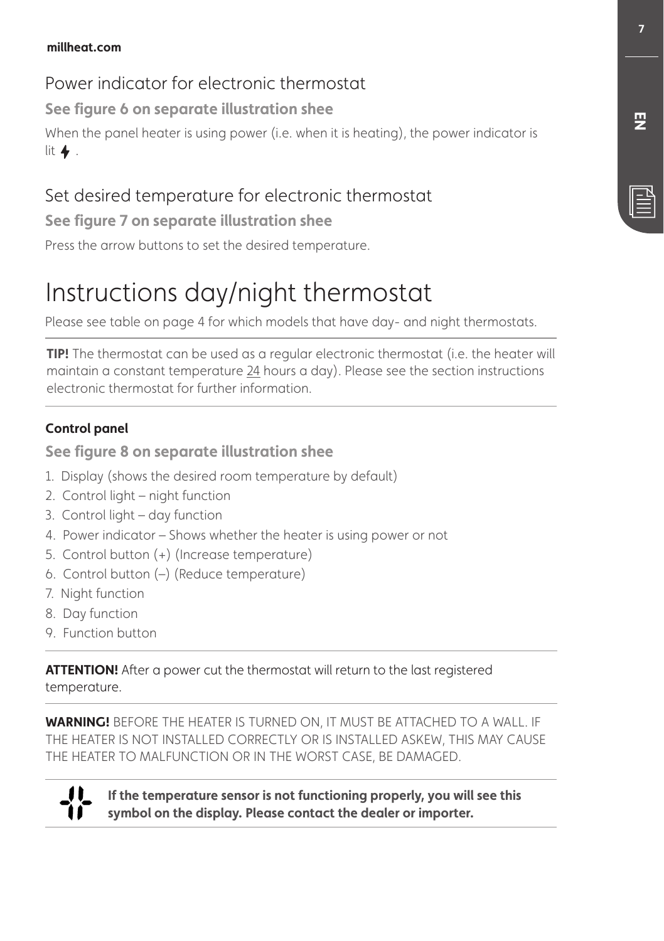# Power indicator for electronic thermostat

**See figure 6 on separate illustration shee** 

When the panel heater is using power (i.e. when it is heating), the power indicator is lit  $\blacklozenge$ .

# Set desired temperature for electronic thermostat

**See figure 7 on separate illustration shee** 

Press the arrow buttons to set the desired temperature.

# Instructions day/night thermostat

Please see table on page 4 for which models that have day- and night thermostats.

**TIP!** The thermostat can be used as a regular electronic thermostat (i.e. the heater will maintain a constant temperature 24 hours a day). Please see the section instructions electronic thermostat for further information.

#### **Control panel**

#### **See figure 8 on separate illustration shee**

- 1. Display (shows the desired room temperature by default)
- 2. Control light night function
- 3. Control light day function
- 4. Power indicator Shows whether the heater is using power or not
- 5. Control button (+) (Increase temperature)
- 6. Control button (–) (Reduce temperature)
- 7. Night function
- 8. Day function
- 9. Function button

**ATTENTION!** After a power cut the thermostat will return to the last registered temperature.

**WARNING!** BEFORE THE HEATER IS TURNED ON, IT MUST BE ATTACHED TO A WALL. IF THE HEATER IS NOT INSTALLED CORRECTLY OR IS INSTALLED ASKEW, THIS MAY CAUSE THE HEATER TO MALFUNCTION OR IN THE WORST CASE, BE DAMAGED.



If the temperature sensor is not functioning properly, you will see this symbol on the display. Please contact the dealer or importer.

**&/**

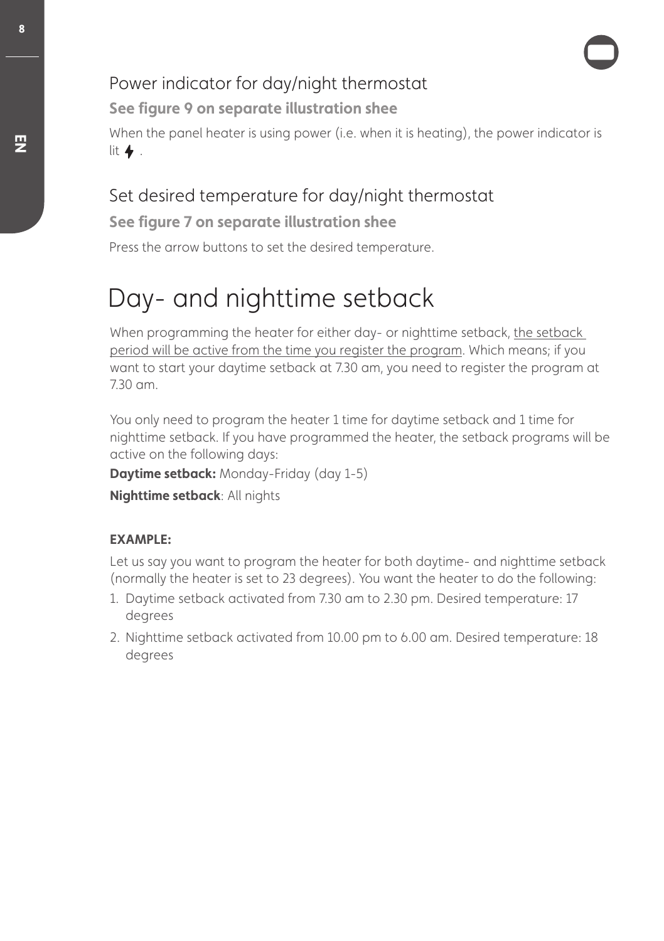# Power indicator for day/night thermostat

**See figure 9 on separate illustration shee** 

When the panel heater is using power (i.e. when it is heating), the power indicator is lit  $\blacklozenge$ .

# Set desired temperature for day/night thermostat

**See figure 7 on separate illustration shee** 

Press the arrow buttons to set the desired temperature.

# Day- and nighttime setback

When programming the heater for either day- or nighttime setback, the setback period will be active from the time you register the program. Which means; if you want to start your daytime setback at 7.30 am, you need to register the program at 7.30 am.

You only need to program the heater 1 time for daytime setback and 1 time for nighttime setback. If you have programmed the heater, the setback programs will be active on the following days:

**Daytime setback:** Monday-Friday (day 1-5)

**Nighttime setback: All nights** 

#### EXAMPLE:

Let us say you want to program the heater for both daytime- and nighttime setback (normally the heater is set to 23 degrees). You want the heater to do the following:

- 1. Daytime setback activated from 7.30 am to 2.30 pm. Desired temperature: 17 degrees
- 2. Nighttime setback activated from 10.00 pm to 6.00 am. Desired temperature: 18 degrees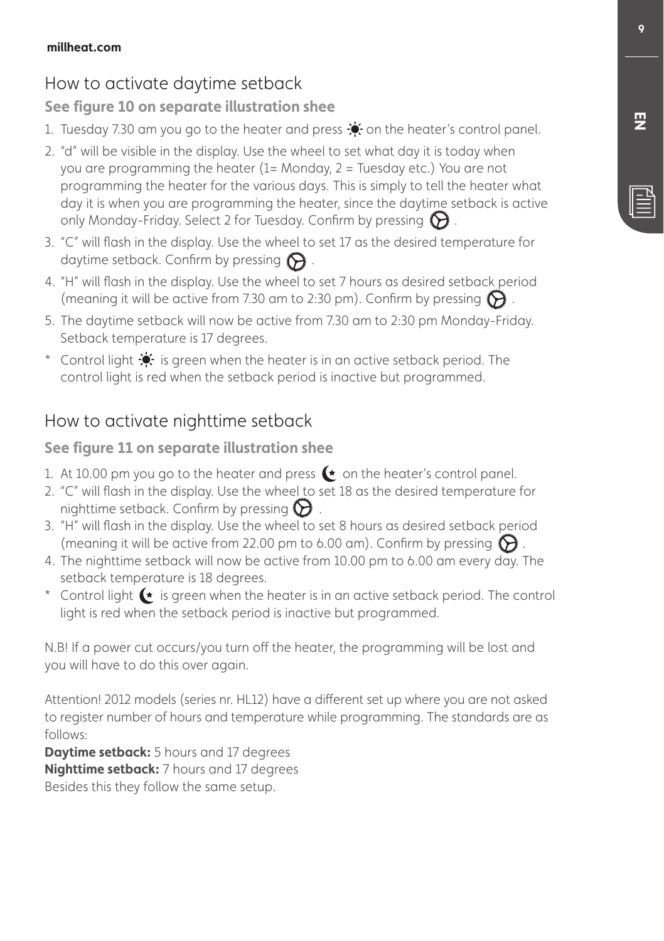# How to activate daytime setback

#### **See figure 10 on separate illustration shee**

- 1. Tuesday 7.30 am you go to the heater and press  $\bullet$  on the heater's control panel.
- 2. "d" will be visible in the display. Use the wheel to set what day it is today when you are programming the heater (1= Monday, 2 = Tuesday etc.) You are not programming the heater for the various days. This is simply to tell the heater what day it is when you are programming the heater, since the daytime setback is active only Monday-Friday. Select 2 for Tuesday. Confirm by pressing  $\Theta$ .
- 3. "C" will fash in the display. Use the wheel to set 17 as the desired temperature for daytime setback. Confirm by pressing  $\bigodot$ .
- 4. "H" will fash in the display. Use the wheel to set 7 hours as desired setback period (meaning it will be active from 7.30 am to 2:30 pm). Confirm by pressing  $\bigcirc$ .
- 5. The daytime setback will now be active from 7.30 am to 2:30 pm Monday-Friday. Setback temperature is 17 degrees.
- \* Control light  $\cdot$  is green when the heater is in an active setback period. The control light is red when the setback period is inactive but programmed.

## How to activate nighttime setback

#### **See figure 11 on separate illustration shee**

- 1. At 10.00 pm you go to the heater and press  $\bullet$  on the heater's control panel.
- 2. "C" will fash in the display. Use the wheel to set 18 as the desired temperature for nighttime setback. Confirm by pressing  $\bigodot$ .
- 3. "H" will fash in the display. Use the wheel to set 8 hours as desired setback period (meaning it will be active from 22.00 pm to 6.00 am). Confirm by pressing  $\mathbf{\hat{D}}$
- 4. The nighttime setback will now be active from 10.00 pm to 6.00 am every day. The setback temperature is 18 degrees.
- \* Control light  $\leftarrow$  is green when the heater is in an active setback period. The control light is red when the setback period is inactive but programmed.

N.B! If a power cut occurs/you turn off the heater, the programming will be lost and you will have to do this over again.

Attention! 2012 models (series nr. HL12) have a different set up where you are not asked to register number of hours and temperature while programming. The standards are as follows:

**Daytime setback:** 5 hours and 17 degrees **Nighttime setback:** 7 hours and 17 degrees Besides this they follow the same setup.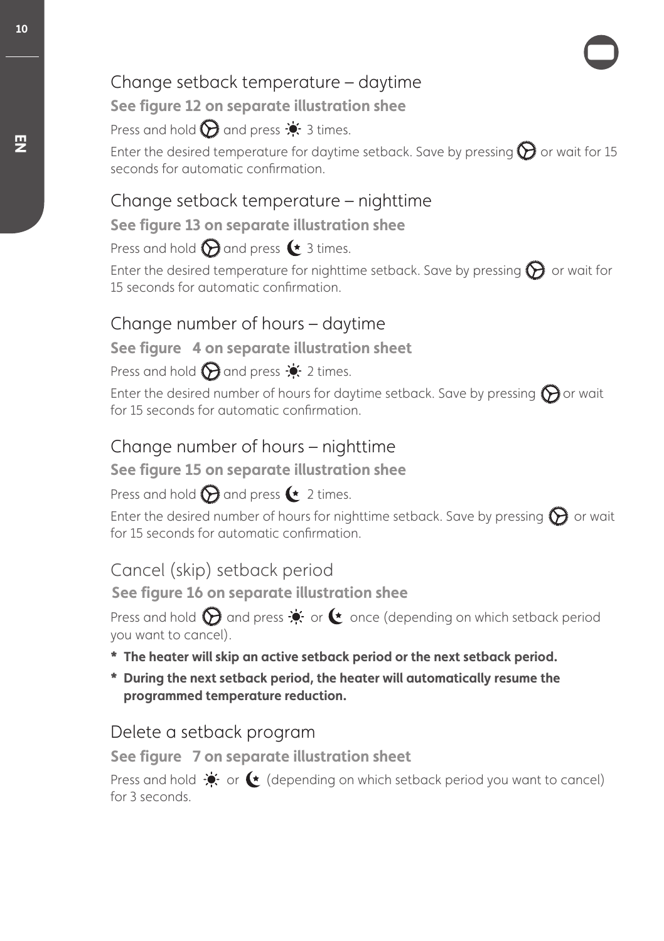## Change setback temperature – daytime

**See figure 12 on separate illustration shee** 

Press and hold  $\bigcirc$  and press  $\cdot$  3 times.

Enter the desired temperature for daytime setback. Save by pressing  $\bigcirc$  or wait for 15 seconds for automatic confrmation.

# Change setback temperature – nighttime

#### **See figure 13 on separate illustration shee**

Press and hold  $\bigcirc$  and press  $\bullet$  3 times.

Enter the desired temperature for nighttime setback. Save by pressing  $\bigcirc$  or wait for 15 seconds for automatic confrmation.

## Change number of hours – daytime

#### **See figure 4 on separate illustration sheet**

Press and hold  $\bigodot$  and press  $\bullet$  2 times.

Enter the desired number of hours for daytime setback. Save by pressing  $\bigcirc$  or wait for 15 seconds for automatic confrmation.

## Change number of hours – nighttime

#### **See figure 15 on separate illustration shee**

#### Press and hold  $\bigcirc$  and press  $\leftarrow$  2 times.

Enter the desired number of hours for nighttime setback. Save by pressing  $\bigcirc$  or wait for 15 seconds for automatic confrmation.

## Cancel (skip) setback period

**See figure 16 on separate illustration shee** 

Press and hold  $\bigcirc$  and press  $\dot{\bullet}$  or  $\bullet$  once (depending on which setback period you want to cancel).

#### \* The heater will skip an active setback period or the next setback period.

\* During the next setback period, the heater will automatically resume the programmed temperature reduction.

## Delete a setback program

**See figure 7 on separate illustration sheet** 

Press and hold  $\bullet$  or  $\bullet$  (depending on which setback period you want to cancel) for 3 seconds.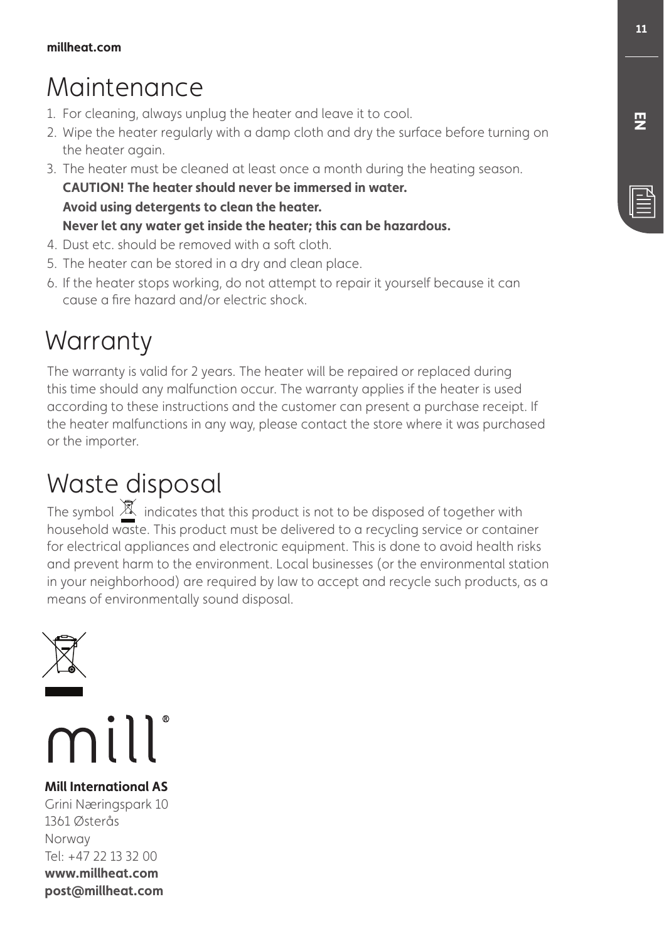# Maintenance

- 1. For cleaning, always unplug the heater and leave it to cool.
- 2. Wipe the heater regularly with a damp cloth and dry the surface before turning on the heater again.
- 3. The heater must be cleaned at least once a month during the heating season. **CAUTION! The heater should never be immersed in water.** Avoid using detergents to clean the heater. Never let any water aet inside the heater: this can be hazardous.
- 4. Dust etc. should be removed with a soft cloth.
- 5. The heater can be stored in a dry and clean place.
- 6. If the heater stops working, do not attempt to repair it yourself because it can cause a fre hazard and/or electric shock.

# **Warranty**

The warranty is valid for 2 years. The heater will be repaired or replaced during this time should any malfunction occur. The warranty applies if the heater is used according to these instructions and the customer can present a purchase receipt. If the heater malfunctions in any way, please contact the store where it was purchased or the importer.

# Waste disposal

The symbol  $\mathbb X$  indicates that this product is not to be disposed of together with household waste. This product must be delivered to a recycling service or container for electrical appliances and electronic equipment. This is done to avoid health risks and prevent harm to the environment. Local businesses (or the environmental station in your neighborhood) are required by law to accept and recycle such products, as a means of environmentally sound disposal.





**Mill International AS** Grini Næringspark 10 1361 Østerås Norway Tel: +47 22 13 32 00 www.millheat.com post@millheat.com

E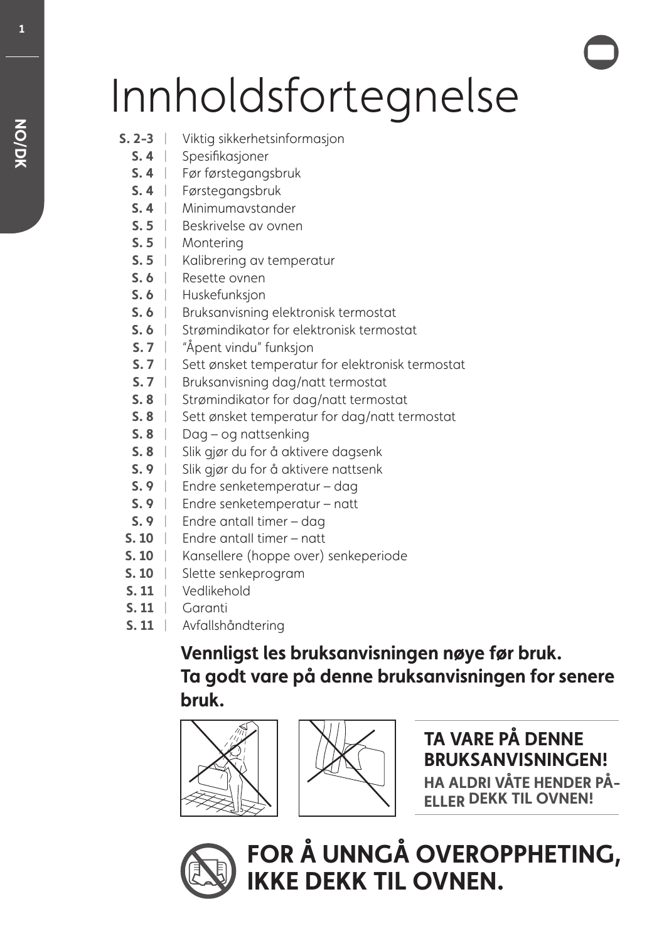# Innholdsfortegnelse

- **5. 2-3** | Viktig sikkerhetsinformasjon
	- **S. 4** | Spesifikasjoner
	- **S. 4** | Før førstegangsbruk
	- **S. 4** | Førstegangsbruk
	- **S. 4** | Minimumavstander
	- **5.5** | Beskrivelse av ovnen
	- **S.5** | Montering
	- **5.5** | Kalibrering av temperatur
	- **5.6** | Resette ovnen
	- **S.6** | Huskefunksjon
	- **5.6** | Bruksanvisning elektronisk termostat
	- **5.6** | Strømindikator for elektronisk termostat
	- **S. 7** | "Åpent vindu" funksjon
	- **S. 7** | Sett ønsket temperatur for elektronisk termostat
	- **5.7** | Bruksanvisning dag/natt termostat
	- **5.8** | Strømindikator for dag/natt termostat
	- **5.8** | Sett ønsket temperatur for dag/natt termostat
	- **5.8** | Dag og nattsenking
	- **S. 8** | Slik gjør du for å aktivere dagsenk
	- **S. 9** | Slik gjør du for å aktivere nattsenk
	- Endre senketemperatur dag **4** |
	- **5.9** | Endre senketemperatur natt
	- **S. 9** | Endre antall timer dag
- **5. 10** | Endre antall timer natt
- **S. 10** | Kansellere (hoppe over) senkeperiode
- **5.10** | Slette senkeprogram
- **s. 11** | Vedlikehold
- **5. 11** | Garanti
- **5.11** | Avfallshåndtering

# Vennligst les bruksanvisningen nøye før bruk. Ta godt vare på denne bruksanvisningen for senere bruk.





**TA VARF PÅ DENNE BRUKSANVISNINGEN! HA ALDRI VÅTE HENDER PÅ-ELLER DEKK TIL OVNEN!** 



FOR Å UNNGÅ OVEROPPHETING, **IKKE DEKK TIL OVNEN.** 

п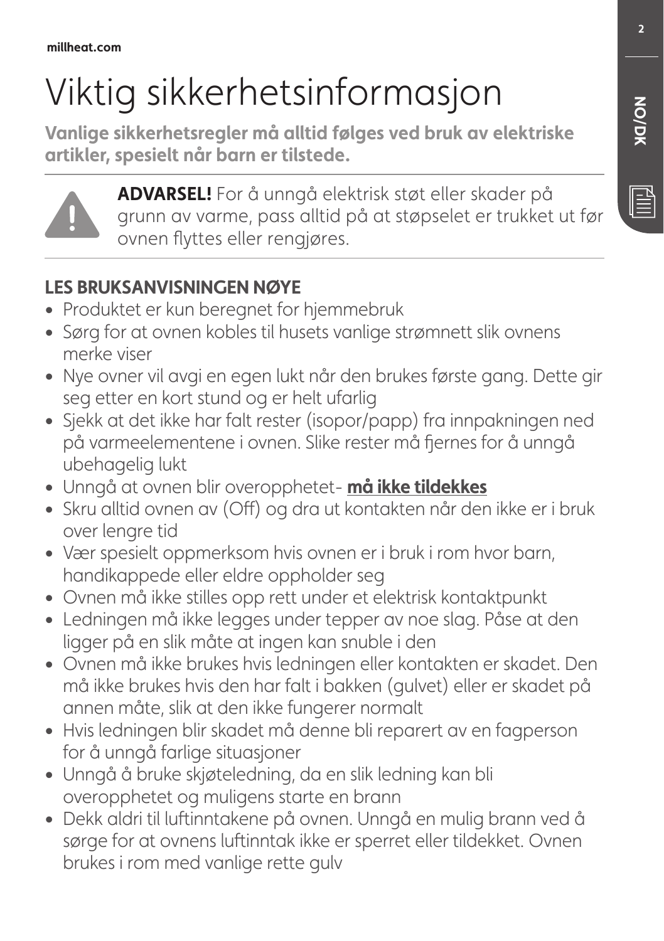# Viktig sikkerhetsinformasjon

Vanlige sikkerhetsregler må alltid følges ved bruk av elektriske artikler, spesielt når barn er tilstede.



**ADVARSEL!** For å unngå elektrisk støt eller skader på grunn av varme, pass alltid på at støpselet er trukket ut før ovnen fyttes eller rengjøres.

# **LES BRUKSANVISNINGEN NØYE**

- **•** Produktet er kun beregnet for hjemmebruk
- **ŕ** Sørg for at ovnen kobles til husets vanlige strømnett slik ovnens merke viser
- **ŕ** Nye ovner vil avgi en egen lukt når den brukes første gang. Dette gir seg etter en kort stund og er helt ufarlig
- **ŕ** Sjekk at det ikke har falt rester (isopor/papp) fra innpakningen ned på varmeelementene i ovnen. Slike rester må fernes for å unngå ubehagelig lukt
- **•** Unngå at ovnen blir overopphetet- må ikke tildekkes
- Skru alltid ovnen av (Off) og dra ut kontakten når den ikke er i bruk over lengre tid
- **ŕ** Vær spesielt oppmerksom hvis ovnen er i bruk i rom hvor barn, handikappede eller eldre oppholder seg
- **ŕ** Ovnen må ikke stilles opp rett under et elektrisk kontaktpunkt
- **ŕ** Ledningen må ikke legges under tepper av noe slag. Påse at den ligger på en slik måte at ingen kan snuble i den
- **ŕ** Ovnen må ikke brukes hvis ledningen eller kontakten er skadet. Den må ikke brukes hvis den har falt i bakken (gulvet) eller er skadet på annen måte, slik at den ikke fungerer normalt
- **ŕ** Hvis ledningen blir skadet må denne bli reparert av en fagperson for å unngå farlige situasjoner
- **ŕ** Unngå å bruke skjøteledning, da en slik ledning kan bli overopphetet og muligens starte en brann
- **ŕ** Dekk aldri til lufinntakene på ovnen. Unngå en mulig brann ved å sørge for at ovnens lufinntak ikke er sperret eller tildekket. Ovnen brukes i rom med vanlige rette gulv

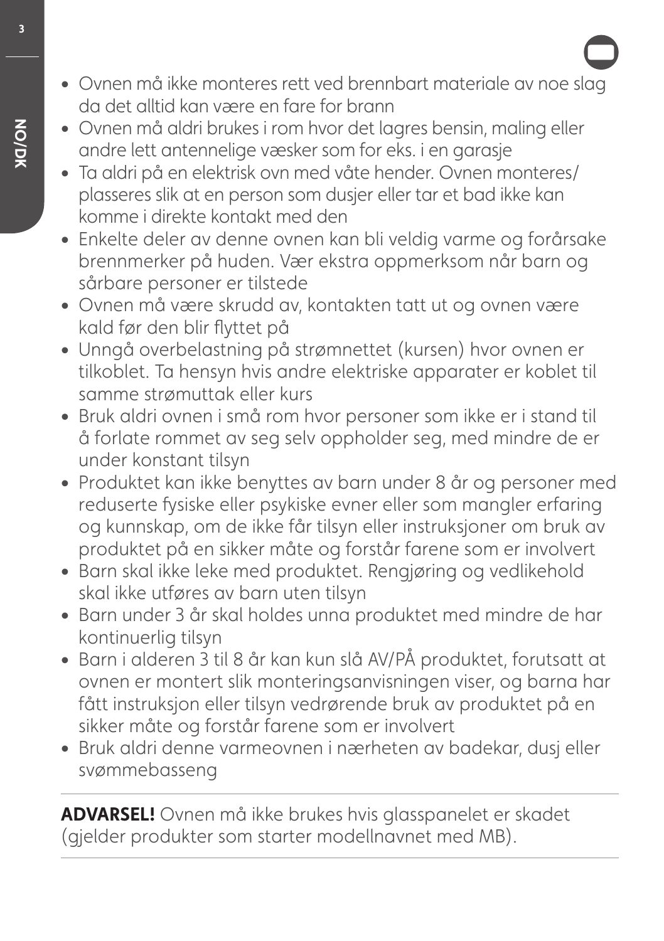- **ŕ** Ovnen må ikke monteres rett ved brennbart materiale av noe slag da det alltid kan være en fare for brann
- **ŕ** Ovnen må aldri brukes i rom hvor det lagres bensin, maling eller andre lett antennelige væsker som for eks. i en garasje
- **ŕ** Ta aldri på en elektrisk ovn med våte hender. Ovnen monteres/ plasseres slik at en person som dusjer eller tar et bad ikke kan komme i direkte kontakt med den
- **ŕ** Enkelte deler av denne ovnen kan bli veldig varme og forårsake brennmerker på huden. Vær ekstra oppmerksom når barn og sårbare personer er tilstede
- **ŕ** Ovnen må være skrudd av, kontakten tatt ut og ovnen være kald før den blir fyttet på
- **ŕ** Unngå overbelastning på strømnettet (kursen) hvor ovnen er tilkoblet. Ta hensyn hvis andre elektriske apparater er koblet til samme strømuttak eller kurs
- **ŕ** Bruk aldri ovnen i små rom hvor personer som ikke er i stand til å forlate rommet av seg selv oppholder seg, med mindre de er under konstant tilsyn
- **ŕ** Produktet kan ikke benyttes av barn under 8 år og personer med reduserte fysiske eller psykiske evner eller som mangler erfaring og kunnskap, om de ikke får tilsyn eller instruksjoner om bruk av produktet på en sikker måte og forstår farene som er involvert
- **ŕ** Barn skal ikke leke med produktet. Rengjøring og vedlikehold skal ikke utføres av barn uten tilsyn
- **ŕ** Barn under 3 år skal holdes unna produktet med mindre de har kontinuerlig tilsyn
- **ŕ** Barn i alderen 3 til 8 år kan kun slå AV/PÅ produktet, forutsatt at ovnen er montert slik monteringsanvisningen viser, og barna har fått instruksjon eller tilsyn vedrørende bruk av produktet på en sikker måte og forstår farene som er involvert
- **ŕ** Bruk aldri denne varmeovnen i nærheten av badekar, dusj eller svømmebasseng

**ADVARSEL!** Ovnen må ikke brukes hvis glasspanelet er skadet (gjelder produkter som starter modellnavnet med MB).

 $\overline{\mathbf{3}}$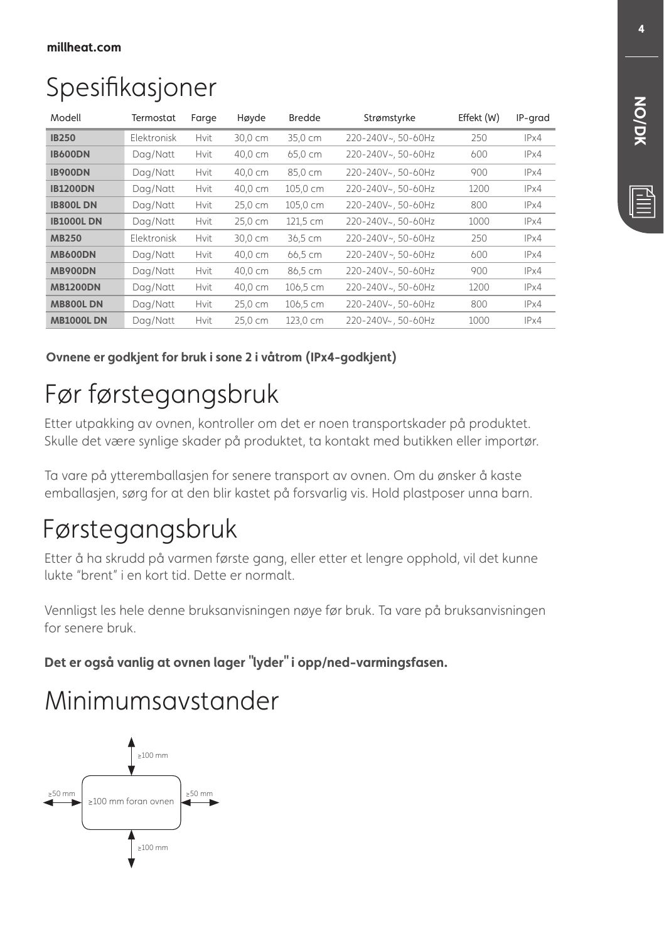# Spesifkasjoner

| Modell           | Termostat          | Farge       | Høyde   | <b>Bredde</b> | Strømstyrke        | Effekt (W) | IP-grad |
|------------------|--------------------|-------------|---------|---------------|--------------------|------------|---------|
| <b>IB250</b>     | <b>Flektronisk</b> | <b>Hvit</b> | 30,0 cm | 35,0 cm       | 220-240V~, 50-60Hz | 250        | IPx4    |
| <b>IB600DN</b>   | Dag/Natt           | Hvit        | 40,0 cm | 65,0 cm       | 220-240V~, 50-60Hz | 600        | IPx4    |
| <b>IB900DN</b>   | Dag/Natt           | <b>Hvit</b> | 40,0 cm | 85,0 cm       | 220-240V~, 50-60Hz | 900        | IPx4    |
| <b>IB1200DN</b>  | Dag/Natt           | Hvit        | 40,0 cm | 105,0 cm      | 220-240V~, 50-60Hz | 1200       | IPx4    |
| <b>IB800L DN</b> | Dag/Natt           | Hvit        | 25,0 cm | 105,0 cm      | 220-240V~, 50-60Hz | 800        | IPx4    |
| <b>IB1000LDN</b> | Dag/Natt           | Hvit        | 25,0 cm | 121,5 cm      | 220-240V~, 50-60Hz | 1000       | IPx4    |
| <b>MB250</b>     | Elektronisk        | Hvit        | 30,0 cm | 36,5 cm       | 220-240V~, 50-60Hz | 250        | IPx4    |
| <b>MB600DN</b>   | Dag/Natt           | Hvit        | 40.0 cm | 66,5 cm       | 220-240V~, 50-60Hz | 600        | IPx4    |
| <b>MB900DN</b>   | Dag/Natt           | <b>Hvit</b> | 40,0 cm | 86,5 cm       | 220-240V~, 50-60Hz | 900        | IPx4    |
| <b>MB1200DN</b>  | Dag/Natt           | <b>Hvit</b> | 40,0 cm | 106,5 cm      | 220-240V~, 50-60Hz | 1200       | IPx4    |
| <b>MB800LDN</b>  | Dag/Natt           | Hvit        | 25,0 cm | 106,5 cm      | 220-240V~, 50-60Hz | 800        | IPx4    |
| <b>MB1000LDN</b> | Dag/Natt           | <b>Hvit</b> | 25,0 cm | 123,0 cm      | 220-240V~, 50-60Hz | 1000       | IPx4    |

Ovnene er godkjent for bruk i sone 2 i våtrom (IPx4-godkjent)

# Før førstegangsbruk

Etter utpakking av ovnen, kontroller om det er noen transportskader på produktet. Skulle det være synlige skader på produktet, ta kontakt med butikken eller importør.

Ta vare på ytteremballasjen for senere transport av ovnen. Om du ønsker å kaste emballasjen, sørg for at den blir kastet på forsvarlig vis. Hold plastposer unna barn.

# Førstegangsbruk

Etter å ha skrudd på varmen første gang, eller etter et lengre opphold, vil det kunne lukte "brent" i en kort tid. Dette er normalt.

Vennligst les hele denne bruksanvisningen nøye før bruk. Ta vare på bruksanvisningen for senere bruk.

Det er også vanlig at ovnen lager "lyder" i opp/ned-varmingsfasen.

# Minimumsavstander



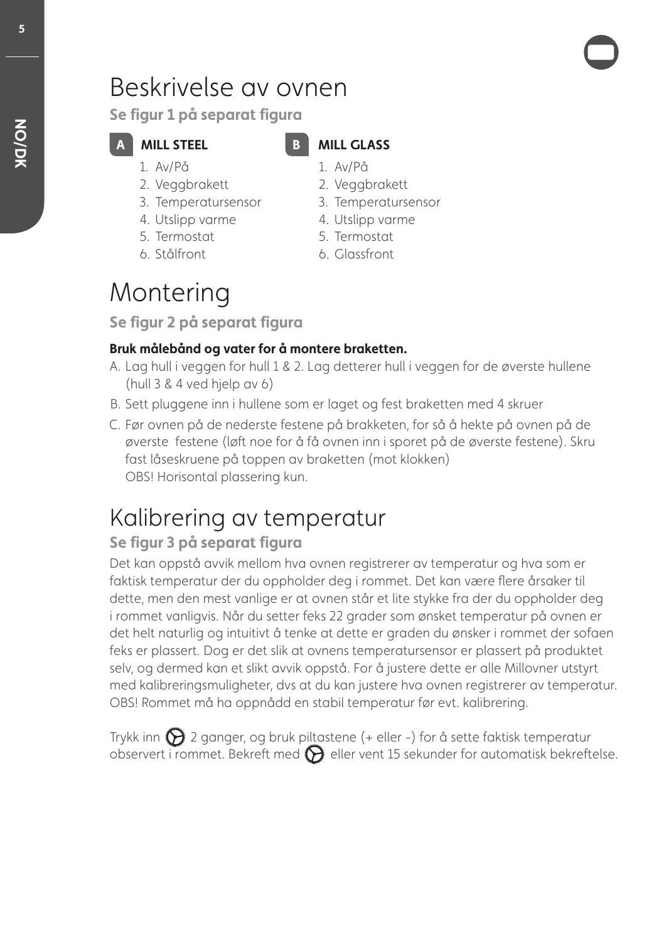# Beskrivelse av ovnen

Se figur 1 på separat figura

- 1. Av/På
- 2. Veggbrakett

**MILL STEEL** 

- 3. Temperatursensor
- 4. Utslipp varme
- 5. Termostat
- 6. Stålfront

## **MILL GLASS**

- 1. Av/På
- 2. Veggbrakett
- 3. Temperatursensor
- 4. Utslipp varme
- 5. Termostat
- 6. Glassfront

# Montering

Se figur 2 på separat figura

#### Bruk målebånd og vater for å montere braketten.

- A. Lag hull i veggen for hull 1 & 2. Lag detterer hull i veggen for de øverste hullene (hull 3 & 4 ved hjelp av 6)
- B. Sett pluggene inn i hullene som er laget og fest braketten med 4 skruer
- " Før ovnen på de nederste festene på brakketen, for så å hekte på ovnen på de øverste festene (løft noe for å få ovnen inn i sporet på de øverste festene). Skru fast låseskruene på toppen av braketten (mot klokken) OBS! Horisontal plassering kun.

# Kalibrering av temperatur

# Se figur 3 på separat figura

Det kan oppstå avvik mellom hva ovnen registrerer av temperatur og hva som er faktisk temperatur der du oppholder deg i rommet. Det kan være fere årsaker til dette, men den mest vanlige er at ovnen står et lite stykke fra der du oppholder deg i rommet vanligvis. Når du setter feks 22 grader som ønsket temperatur på ovnen er det helt naturlig og intuitivt å tenke at dette er graden du ønsker i rommet der sofaen feks er plassert. Dog er det slik at ovnens temperatursensor er plassert på produktet selv, og dermed kan et slikt avvik oppstå. For å justere dette er alle Millovner utstyrt med kalibreringsmuligheter, dvs at du kan justere hva ovnen registrerer av temperatur. OBS! Rommet må ha oppnådd en stabil temperatur før evt. kalibrering.

Trykk inn  $\bigcirc$  2 ganger, og bruk piltastene (+ eller -) for å sette faktisk temperatur observert i rommet. Bekreft med  $\bigotimes$  eller vent 15 sekunder for automatisk bekreftelse.

5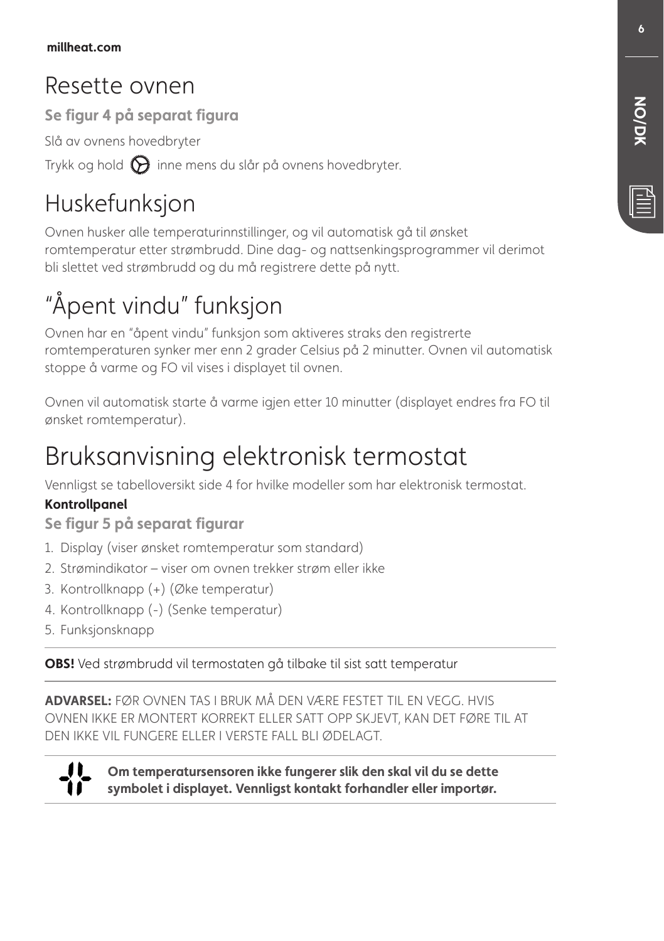# Resette ovnen

Se figur 4 på separat figura

Slå av ovnens hovedbryter

Trykk og hold  $\bigodot$  inne mens du slår på ovnens hovedbryter.

# Huskefunksjon

Ovnen husker alle temperaturinnstillinger, og vil automatisk gå til ønsket romtemperatur etter strømbrudd. Dine dag- og nattsenkingsprogrammer vil derimot bli slettet ved strømbrudd og du må registrere dette på nytt.

# "Åpent vindu" funksjon

Ovnen har en "åpent vindu" funksjon som aktiveres straks den registrerte romtemperaturen synker mer enn 2 grader Celsius på 2 minutter. Ovnen vil automatisk stoppe å varme og FO vil vises i displayet til ovnen.

Ovnen vil automatisk starte å varme igjen etter 10 minutter (displayet endres fra FO til ønsket romtemperatur).

# Bruksanvisning elektronisk termostat

Vennligst se tabelloversikt side 4 for hvilke modeller som har elektronisk termostat.

#### **Kontrollpanel**

Se figur 5 på separat figurar

- 1. Display (viser ønsket romtemperatur som standard)
- 2. Strømindikator viser om ovnen trekker strøm eller ikke
- 3. Kontrollknapp (+) (Øke temperatur)
- 4. Kontrollknapp (-) (Senke temperatur)
- 5. Funksjonsknapp

OBS! Ved strømbrudd vil termostaten gå tilbake til sist satt temperatur

ADVARSEL: FØR OVNEN TAS I BRUK MÅ DEN VÆRE FESTET TIL EN VEGG. HVIS OVNEN IKKE ER MONTERT KORREKT ELLER SATT OPP SKJEVT, KAN DET FØRE TIL AT DEN IKKE VIL FUNGERE ELLER I VERSTE FALL BLI ØDELAGT.



Om temperatursensoren ikke fungerer slik den skal vil du se dette symbolet i displayet. Vennliast kontakt forhandler eller importør.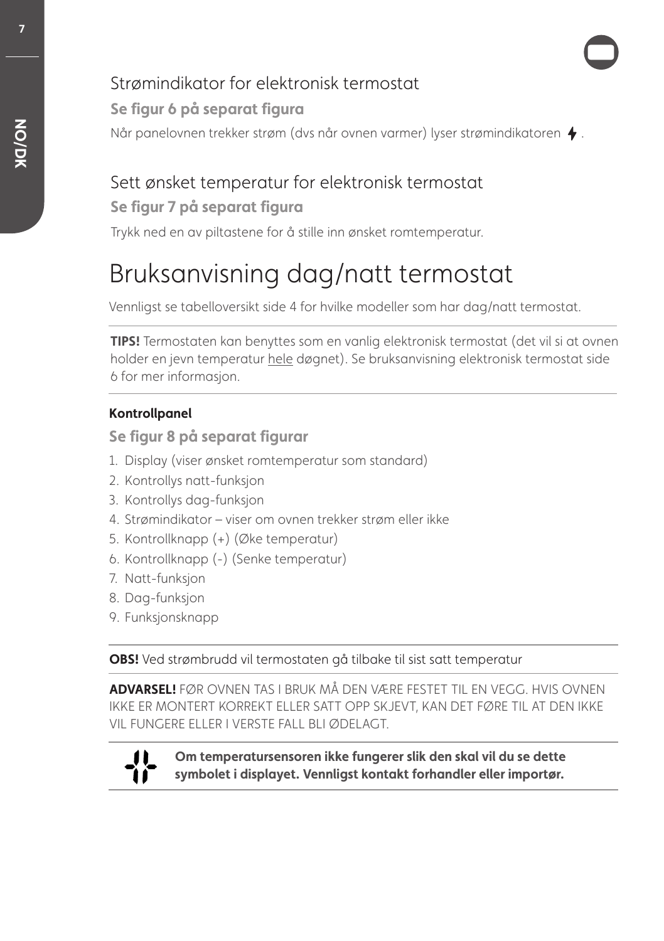# Strømindikator for elektronisk termostat

#### Når panelovnen trekker strøm (dvs når ovnen varmer) lyser strømindikatoren  $\blacklozenge$ . Se figur 6 på separat figura

# Sett ønsket temperatur for elektronisk termostat

#### Se figur 7 på separat figura

Trykk ned en av piltastene for å stille inn ønsket romtemperatur.

# Bruksanvisning dag/natt termostat

Vennligst se tabelloversikt side 4 for hvilke modeller som har dag/natt termostat.

**TIPS!** Termostaten kan benyttes som en vanlig elektronisk termostat (det vil si at ovnen holder en jevn temperatur hele døgnet). Se bruksanvisning elektronisk termostat side 6 for mer informasjon.

#### **Kontrollpanel**

Se figur 8 på separat figurar

- 1. Display (viser ønsket romtemperatur som standard)
- 2. Kontrollys natt-funksjon
- 3. Kontrollys dag-funksjon
- 4. Strømindikator viser om ovnen trekker strøm eller ikke
- 5. Kontrollknapp (+) (Øke temperatur)
- 6. Kontrollknapp (-) (Senke temperatur)
- 7. Natt-funksjon
- 8. Dag-funksjon
- 9. Funksjonsknapp

**OBS!** Ved strømbrudd vil termostaten gå tilbake til sist satt temperatur

**ADVARSEL!** FØR OVNEN TAS I BRUK MÅ DEN VÆRE FESTET TIL EN VEGG. HVIS OVNEN IKKE ER MONTERT KORREKT ELLER SATT OPP SKJEVT, KAN DET FØRE TIL AT DEN IKKE VIL FUNGERE ELLER I VERSTE FALL BLI ØDELAGT.



Om temperatursensoren ikke fungerer slik den skal vil du se dette symbolet i displayet. Vennligst kontakt forhandler eller importør.

7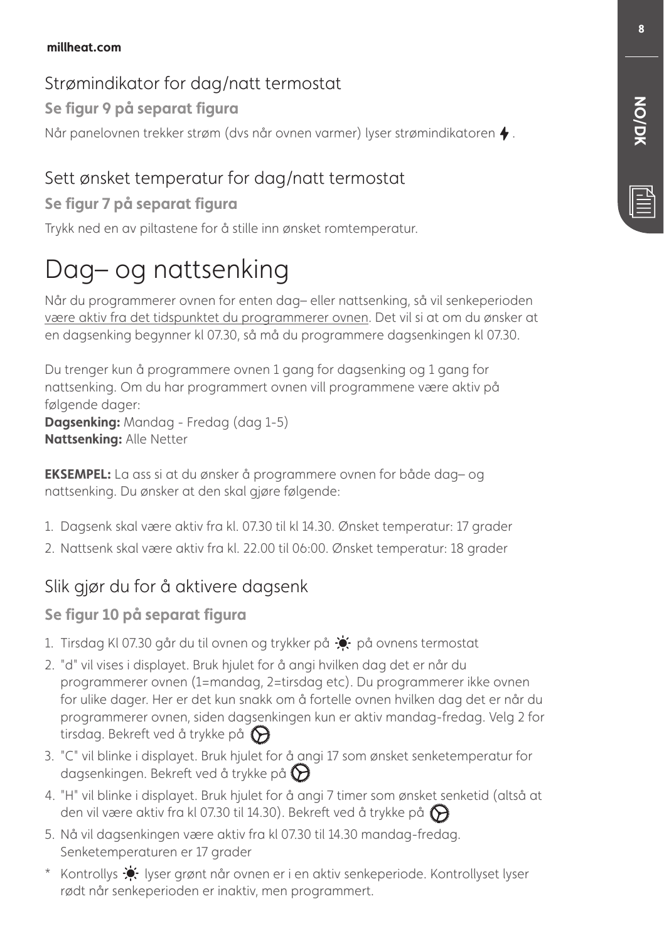#### millheat.com

#### Strømindikator for dag/natt termostat

#### Se figur 9 på separat figura

Når panelovnen trekker strøm (dvs når ovnen varmer) lyser strømindikatoren  $\blacklozenge$ .

# Sett ønsket temperatur for dag/natt termostat

#### Se figur 7 på separat figura

Trykk ned en av piltastene for å stille inn ønsket romtemperatur.

# Dag– og nattsenking

Når du programmerer ovnen for enten dag– eller nattsenking, så vil senkeperioden være aktiv fra det tidspunktet du programmerer ovnen. Det vil si at om du ønsker at en dagsenking begynner kl 07.30, så må du programmere dagsenkingen kl 07.30.

Du trenger kun å programmere ovnen 1 gang for dagsenking og 1 gang for nattsenking. Om du har programmert ovnen vill programmene være aktiv på følgende dager: **Dagsenking:** Mandag - Fredag (dag 1-5)

**Nattsenking: Alle Netter** 

**EKSEMPEL:** La ass si at du ønsker å programmere ovnen for både dag– og nattsenking. Du ønsker at den skal gjøre følgende:

- 1. Dagsenk skal være aktiv fra kl. 07.30 til kl 14.30. Ønsket temperatur: 17 grader
- 2. Nattsenk skal være aktiv fra kl. 22.00 til 06:00. Ønsket temperatur: 18 grader

# Slik gjør du for å aktivere dagsenk

#### Se figur 10 på separat figura

- 1. Tirsdag KI 07.30 går du til ovnen og trykker på  $\bullet$  på ovnens termostat
- 2. "d" vil vises i displayet. Bruk hjulet for å angi hvilken dag det er når du programmerer ovnen (1=mandag, 2=tirsdag etc). Du programmerer ikke ovnen for ulike dager. Her er det kun snakk om å fortelle ovnen hvilken dag det er når du programmerer ovnen, siden dagsenkingen kun er aktiv mandag-fredag. Velg 2 for tirsdag. Bekreft ved å trykke på  $\bigodot$
- 3. "C" vil blinke i displayet. Bruk hjulet for å angi 17 som ønsket senketemperatur for dagsenkingen. Bekreft ved å trykke på  $\bigotimes$
- 4. "H" vil blinke i displayet. Bruk hjulet for å angi 7 timer som ønsket senketid (altså at den vil være aktiv fra kl 07.30 til 14.30). Bekreft ved å trykke på  $\bigotimes$
- 5. Nå vil dagsenkingen være aktiv fra kl 07.30 til 14.30 mandag-fredag. Senketemperaturen er 17 grader
- \* Kontrollys  $\bullet$  lyser grønt når ovnen er i en aktiv senkeperiode. Kontrollyset lyser rødt når senkeperioden er inaktiv, men programmert.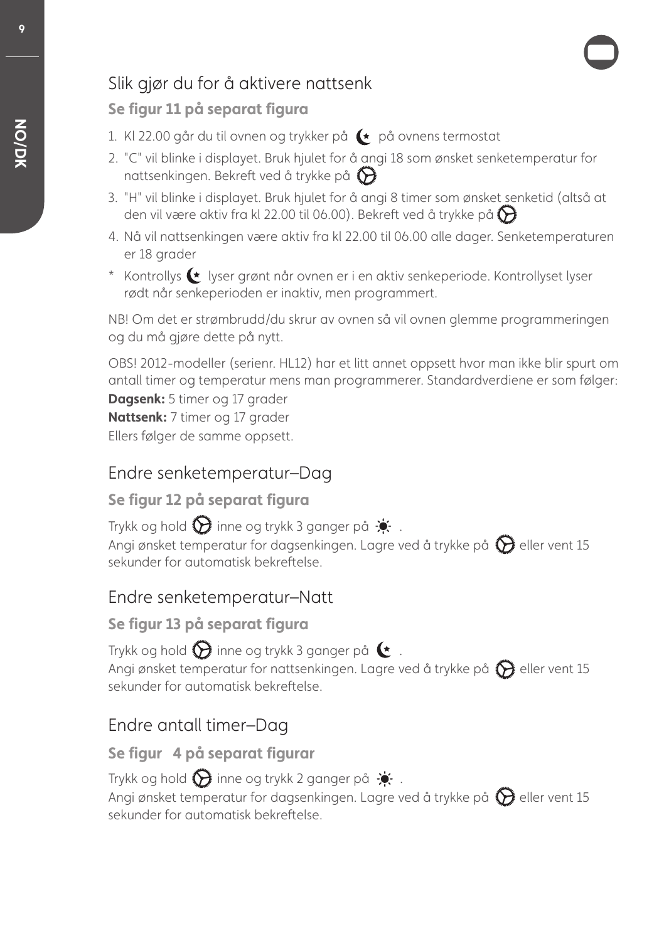# Slik gjør du for å aktivere nattsenk

#### Se figur 11 på separat figura

- 1. Kl 22.00 går du til ovnen og trykker på  $\leftarrow$  på ovnens termostat
- 2. "C" vil blinke i displayet. Bruk hjulet for å angi 18 som ønsket senketemperatur for nattsenkingen. Bekreft ved å trykke på  $\bigcirc$
- 3. "H" vil blinke i displayet. Bruk hjulet for å angi 8 timer som ønsket senketid (altså at den vil være aktiv fra kl 22.00 til 06.00). Bekreft ved å trykke på  $\bigodot$
- 4. Nå vil nattsenkingen være aktiv fra kl 22.00 til 06.00 alle dager. Senketemperaturen er 18 grader
- \* Kontrollys  $\blacklozenge$  lyser grønt når ovnen er i en aktiv senkeperiode. Kontrollyset lyser rødt når senkeperioden er inaktiv, men programmert.

NB! Om det er strømbrudd/du skrur av ovnen så vil ovnen glemme programmeringen og du må gjøre dette på nytt.

OBS! 2012-modeller (serienr. HL12) har et litt annet oppsett hvor man ikke blir spurt om antall timer og temperatur mens man programmerer. Standardverdiene er som følger: **Dagsenk:** 5 timer og 17 grader **Nattsenk:** 7 timer og 17 grader Ellers følger de samme oppsett.

## Endre senketemperatur–Dag

#### Se figur 12 på separat figura

Trykk og hold  $\bigotimes$  inne og trykk 3 ganger på  $\bigstar$ . Angi ønsket temperatur for dagsenkingen. Lagre ved å trykke på  $\bigcirc$  eller vent 15 sekunder for automatisk bekreftelse.

## Endre senketemperatur–Natt

#### Se figur 13 på separat figura

Trykk og hold  $\bigotimes$  inne og trykk 3 ganger på  $\bullet$ . Angi ønsket temperatur for nattsenkingen. Lagre ved å trykke på  $\bigcirc$  eller vent 15 sekunder for automatisk bekreftelse.

# Endre antall timer–Dag

## Se figur 4 på separat figurar

Trykk og hold  $\bigcirc$  inne og trykk 2 ganger på  $\cdot$ . Angi ønsket temperatur for dagsenkingen. Lagre ved å trykke på  $\bigcirc$  eller vent 15 sekunder for automatisk bekrefelse.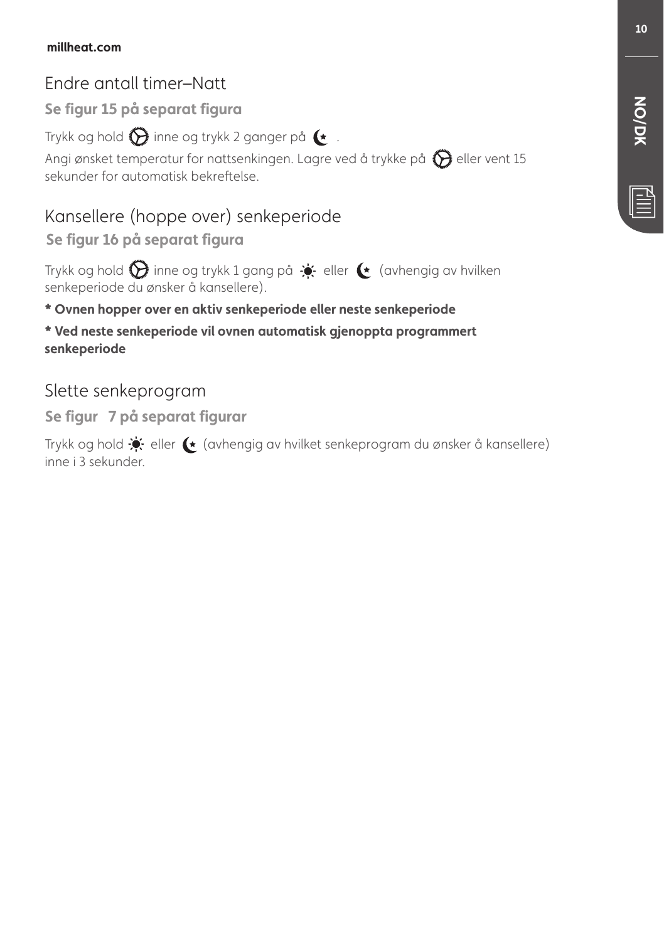# Endre antall timer–Natt

Se figur 15 på separat figura

Trykk og hold  $\bigotimes$  inne og trykk 2 ganger på  $\blacktriangleright$ .

Angi ønsket temperatur for nattsenkingen. Lagre ved å trykke på  $\bigcirc$  eller vent 15 sekunder for automatisk bekreftelse.

# Kansellere (hoppe over) senkeperiode

Se figur 16 på separat figura

Trykk og hold  $\bigcirc$  inne og trykk 1 gang på  $\div$  eller  $\leftrightarrow$  (avhengig av hvilken senkeperiode du ønsker å kansellere).

## \* Ovnen hopper over en aktiv senkeperiode eller neste senkeperiode

 $*$  Ved neste senkeperiode vil ovnen automatisk gienoppta programmert senkeperiode

# Slette senkeprogram

Se figur 7 på separat figurar

Trykk og hold <a>
eller (avhengig av hvilket senkeprogram du ønsker å kansellere) inne i 3 sekunder.

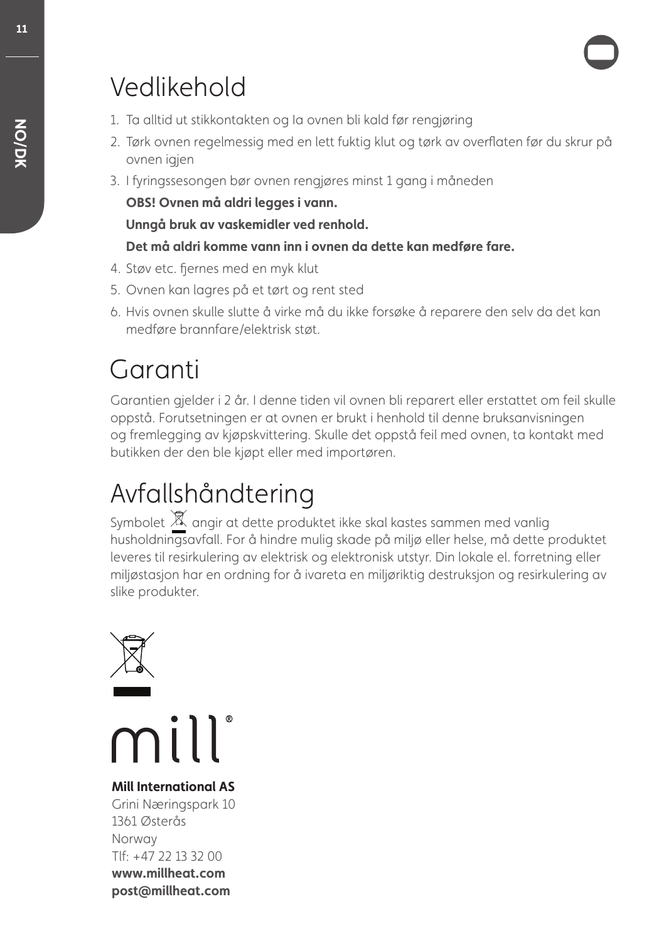# Vedlikehold

- 1. Ta alltid ut stikkontakten og Ia ovnen bli kald før rengjøring
- 2. Tørk ovnen regelmessig med en lett fuktig klut og tørk av overfaten før du skrur på ovnen jajen
- 3. I fringssesongen bør ovnen rengjøres minst 1 gang i måneden

OBS! Ovnen må aldri legges i vann.

**Unnaå bruk av vaskemidler ved renhold.** 

#### Det må aldri komme vann inn i ovnen da dette kan medføre fare.

- 4. Støv etc. fiernes med en myk klut
- 5. Ovnen kan lagres på et tørt og rent sted
- 6. Hvis ovnen skulle slutte å virke må du ikke forsøke å reparere den selv da det kan medføre brannfare/elektrisk støt.

# Garanti

Garantien gjelder i 2 år. I denne tiden vil ovnen bli reparert eller erstattet om feil skulle oppstå. Forutsetningen er at ovnen er brukt i henhold til denne bruksanvisningen og fremlegging av kjøpskvittering. Skulle det oppstå feil med ovnen, ta kontakt med butikken der den ble kjøpt eller med importøren.

# Avfallshåndtering

Symbolet  $\mathbb X$  angir at dette produktet ikke skal kastes sammen med vanlig husholdningsavfall. For å hindre mulig skade på miljø eller helse, må dette produktet leveres til resirkulering av elektrisk og elektronisk utstyr. Din lokale el. forretning eller miljøstasjon har en ordning for å ivareta en miljøriktig destruksjon og resirkulering av slike produkter.



mill

**Mill International AS** Grini Næringspark 10 1361 Østerås Norway Tlf: +47 22 13 32 00 www.millheat.com post@millheat.com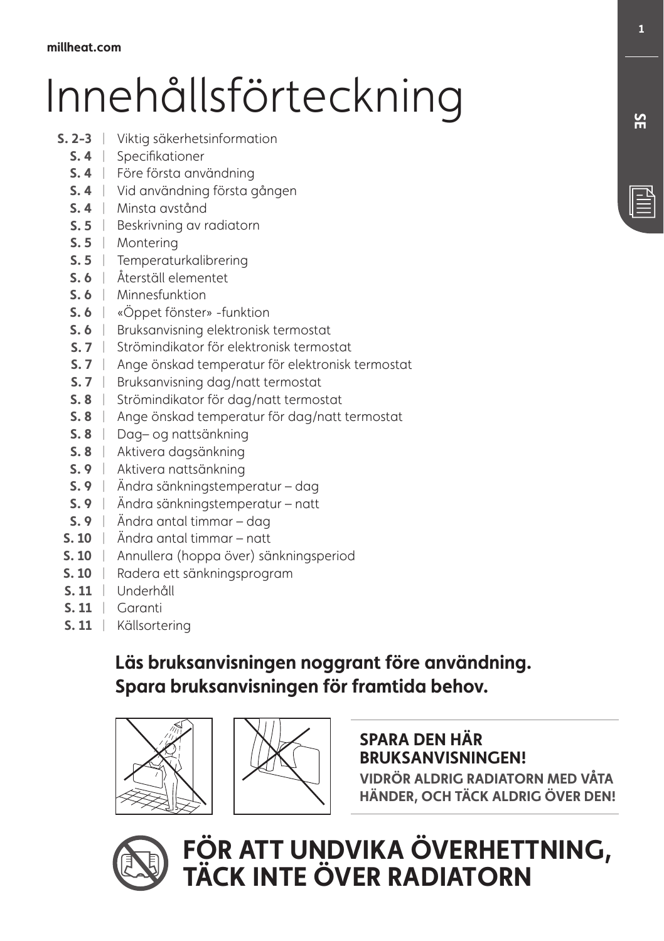# Innehållsförteckning

- **5. 2-3** | Viktig säkerhetsinformation
	- **S. 4** Specifikationer
	- **4** Före första användning |
	- **4** Vid användning första gången |
	- **4** Minsta avstånd |
	- **5.5** | Beskrivning av radiatorn
	- **5.5** | Montering
	- **5.5** Temperaturkalibrering
	- **4** Återställ elementet |
	- **5.6** | Minnesfunktion
	- **5.6** | «Oppet fönster» -funktion
	- **5. 6** The Bruksanvisning elektronisk termostat
	- **4** Strömindikator för elektronisk termostat |
	- **S. 7** lä Ange önskad temperatur för elektronisk termostat
	- **5.7** | Bruksanvisning dag/natt termostat
	- **4** Strömindikator för dag/natt termostat |
	- **S. 8**  $\parallel$  Ange önskad temperatur för dag/natt termostat
	- **4** Dag– og nattsänkning |
	- **4** Aktivera dagsänkning |
	- **4** Aktivera nattsänkning |
	- **4** Ändra sänkningstemperatur dag |
	- **4** Ändra sänkningstemperatur natt |
	- **4** Ändra antal timmar dag |
	- **5. 10** Andra antal timmar natt
	- **5. 10** | Annullera (hoppa över) sänkningsperiod
	- **4** Radera ett sänkningsprogram |
	- **4** Underhåll |
	- **5.11** | Garanti
	- **5.11** | Källsortering

# Läs bruksanvisningen noggrant före användning. Spara bruksanvisningen för framtida behov.





#### **SPARA DEN HÄR BRUKSANVISNINGEN!**

**YIDRÖR ALDRIG RADIATORN MED VÅTA HÄNDER, OCH TÄCK ALDRIG ÖVER DEN!** 



 $\blacksquare$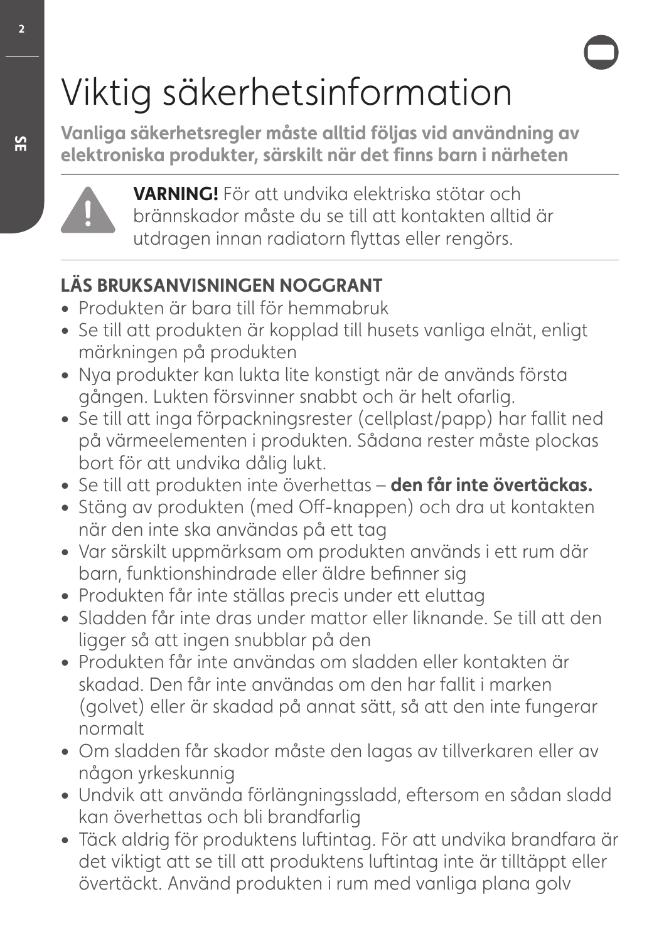# Viktig säkerhetsinformation

Vanliga säkerhetsregler måste alltid följas vid användning av elektroniska produkter, särskilt när det finns barn i närheten



**7"3/\*/(-**För att undvika elektriska stötar och brännskador måste du se till att kontakten alltid är utdragen innan radiatorn fyttas eller rengörs.

# **LÄS BRUKSANVISNINGEN NOGGRANT**

- **ŕ** Produkten är bara till för hemmabruk
- **ŕ** Se till att produkten är kopplad till husets vanliga elnät, enligt märkningen på produkten
- **ŕ** Nya produkter kan lukta lite konstigt när de används första gången. Lukten försvinner snabbt och är helt ofarlig.
- **ŕ** Se till att inga förpackningsrester (cellplast/papp) har fallit ned på värmeelementen i produkten. Sådana rester måste plockas bort för att undvika dålig lukt.
- Se till att produkten inte överhettas **den får inte övertäckas.**
- Stäng av produkten (med Off-knappen) och dra ut kontakten när den inte ska användas på ett tag
- **ŕ** Var särskilt uppmärksam om produkten används i ett rum där barn, funktionshindrade eller äldre befnner sig
- **ŕ** Produkten får inte ställas precis under ett eluttag
- **ŕ** Sladden får inte dras under mattor eller liknande. Se till att den ligger så att ingen snubblar på den
- **ŕ** Produkten får inte användas om sladden eller kontakten är skadad. Den får inte användas om den har fallit i marken (golvet) eller är skadad på annat sätt, så att den inte fungerar normalt
- **ŕ** Om sladden får skador måste den lagas av tillverkaren eller av någon yrkeskunnig
- **ŕ** Undvik att använda förlängningssladd, efersom en sådan sladd kan överhettas och bli brandfarlig
- **ŕ** Täck aldrig för produktens lufintag. För att undvika brandfara är det viktigt att se till att produktens lufintag inte är tilltäppt eller övertäckt. Använd produkten i rum med vanliga plana golv

 $\overline{2}$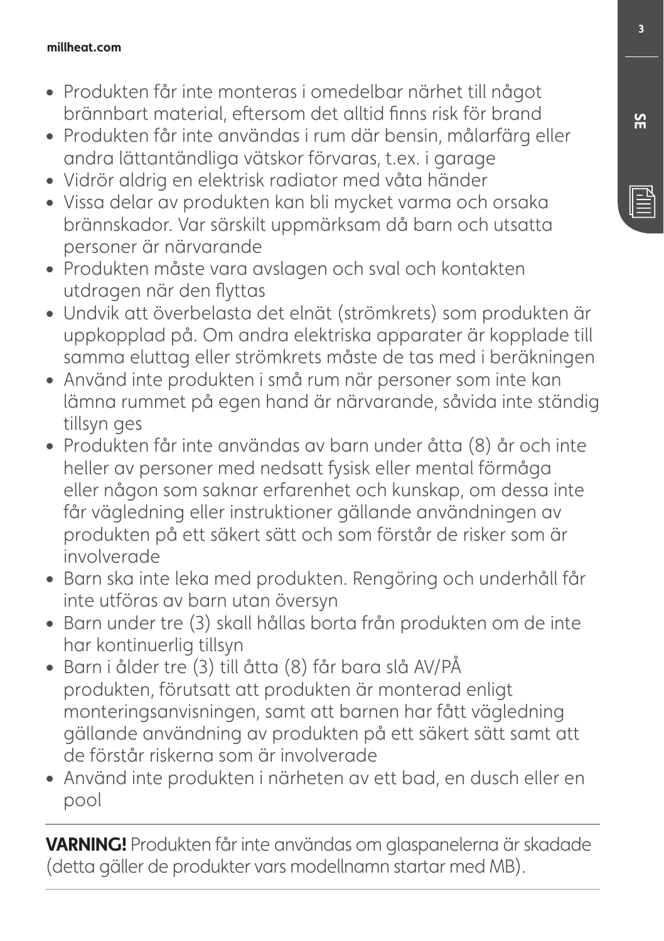#### millheat.com

- **ŕ** Produkten får inte monteras i omedelbar närhet till något brännbart material, efersom det alltid fnns risk för brand
- **ŕ** Produkten får inte användas i rum där bensin, målarfärg eller andra lättantändliga vätskor förvaras, t.ex. i garage
- **ŕ** Vidrör aldrig en elektrisk radiator med våta händer
- **ŕ** Vissa delar av produkten kan bli mycket varma och orsaka brännskador. Var särskilt uppmärksam då barn och utsatta personer är närvarande
- **ŕ** Produkten måste vara avslagen och sval och kontakten utdragen när den fyttas
- **ŕ** Undvik att överbelasta det elnät (strömkrets) som produkten är uppkopplad på. Om andra elektriska apparater är kopplade till samma eluttag eller strömkrets måste de tas med i beräkningen
- **ŕ** Använd inte produkten i små rum när personer som inte kan lämna rummet på egen hand är närvarande, såvida inte ständig tillsyn ges
- **ŕ** Produkten får inte användas av barn under åtta (8) år och inte heller av personer med nedsatt fysisk eller mental förmåga eller någon som saknar erfarenhet och kunskap, om dessa inte får vägledning eller instruktioner gällande användningen av produkten på ett säkert sätt och som förstår de risker som är involverade
- **ŕ** Barn ska inte leka med produkten. Rengöring och underhåll får inte utföras av barn utan översyn
- **ŕ** Barn under tre (3) skall hållas borta från produkten om de inte har kontinuerlig tillsyn
- **ŕ** Barn i ålder tre (3) till åtta (8) får bara slå AV/PÅ produkten, förutsatt att produkten är monterad enligt monteringsanvisningen, samt att barnen har fått vägledning gällande användning av produkten på ett säkert sätt samt att de förstår riskerna som är involverade
- **ŕ** Använd inte produkten i närheten av ett bad, en dusch eller en pool

**VARNING!** Produkten får inte användas om glaspanelerna är skadade (detta gäller de produkter vars modellnamn startar med MB).

**4&**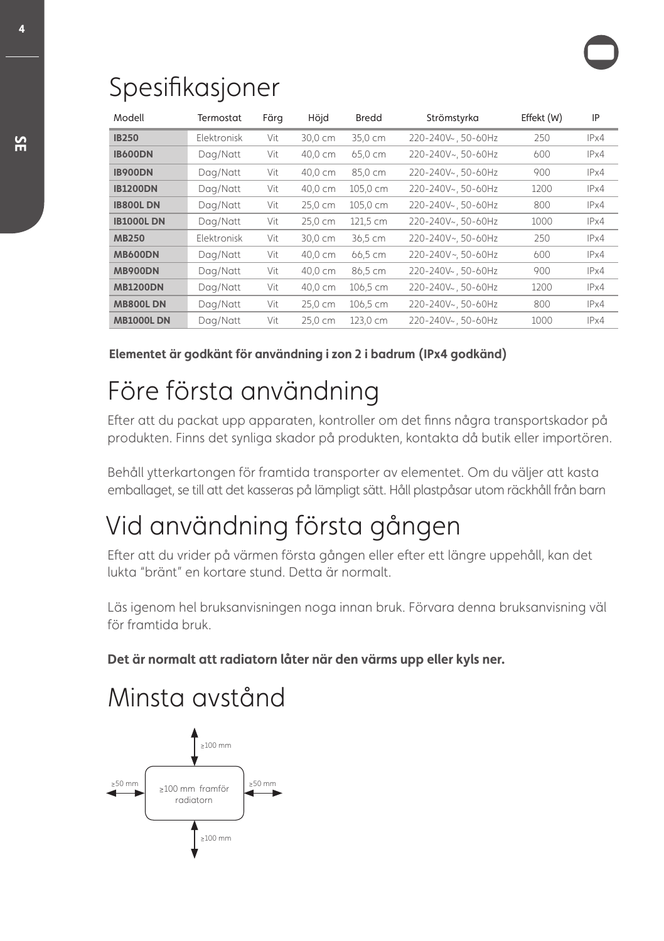# Spesifkasjoner

| Modell           | Termostat          | Färg | Höjd    | <b>Bredd</b> | Strömstyrka        | Effekt (W) | IP   |
|------------------|--------------------|------|---------|--------------|--------------------|------------|------|
| <b>IB250</b>     | <b>Flektronisk</b> | Vit  | 30,0 cm | 35,0 cm      | 220-240V~, 50-60Hz | 250        | IPx4 |
| <b>IB600DN</b>   | Dag/Natt           | Vit  | 40,0 cm | 65,0 cm      | 220-240V~, 50-60Hz | 600        | IPx4 |
| <b>IB900DN</b>   | Dag/Natt           | Vit  | 40,0 cm | 85,0 cm      | 220-240V~, 50-60Hz | 900        | IPx4 |
| <b>IB1200DN</b>  | Dag/Natt           | Vit  | 40,0 cm | 105,0 cm     | 220-240V~, 50-60Hz | 1200       | IPx4 |
| <b>IB800LDN</b>  | Dag/Natt           | Vit  | 25.0 cm | 105.0 cm     | 220-240V~, 50-60Hz | 800        | IPx4 |
| <b>IB1000LDN</b> | Dag/Natt           | Vit  | 25,0 cm | 121,5 cm     | 220-240V~, 50-60Hz | 1000       | IPx4 |
| <b>MB250</b>     | Elektronisk        | Vit  | 30.0 cm | 36,5 cm      | 220-240V~, 50-60Hz | 250        | IPx4 |
| <b>MB600DN</b>   | Dag/Natt           | Vit  | 40,0 cm | 66,5 cm      | 220-240V~. 50-60Hz | 600        | IPx4 |
| <b>MB900DN</b>   | Dag/Natt           | Vit  | 40,0 cm | 86,5 cm      | 220-240V~, 50-60Hz | 900        | IPx4 |
| <b>MB1200DN</b>  | Dag/Natt           | Vit  | 40,0 cm | 106,5 cm     | 220-240V~, 50-60Hz | 1200       | IPx4 |
| <b>MB800LDN</b>  | Dag/Natt           | Vit  | 25,0 cm | 106.5 cm     | 220-240V~, 50-60Hz | 800        | IPx4 |
| <b>MB1000LDN</b> | Dag/Natt           | Vit  | 25,0 cm | 123.0 cm     | 220-240V~.50-60Hz  | 1000       | IPx4 |

Elementet är godkänt för användning i zon 2 i badrum (IPx4 godkänd)

# Före första användning

Efer att du packat upp apparaten, kontroller om det fnns några transportskador på produkten. Finns det synliga skador på produkten, kontakta då butik eller importören.

Behåll ytterkartongen för framtida transporter av elementet. Om du väljer att kasta emballaget, se till att det kasseras på lämpligt sätt. Håll plastpåsar utom räckhåll från barn

# Vid användning första gången

Efer att du vrider på värmen första gången eller efer ett längre uppehåll, kan det lukta "bränt" en kortare stund. Detta är normalt.

Läs igenom hel bruksanvisningen noga innan bruk. Förvara denna bruksanvisning väl för framtida bruk.

Det är normalt att radiatorn låter när den värms upp eller kyls ner.

# Minsta avstånd



 $\overline{a}$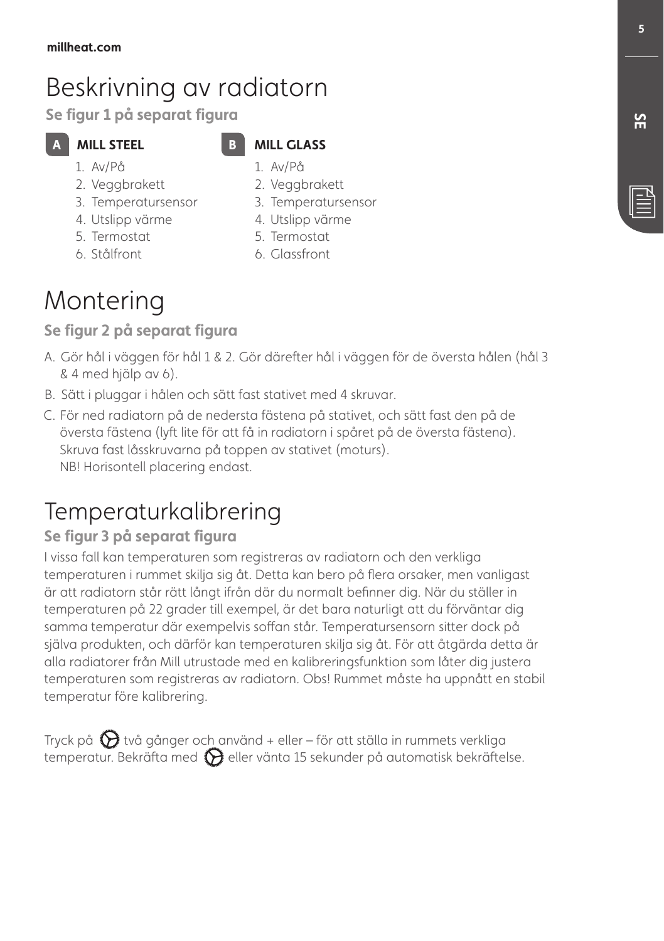# Beskrivning av radiatorn

Se figur 1 på separat figura

## **MILL STEEL**

#### **MILL GLASS** 1. Av/På

1. Av/På

6. Stålfront

- 2. Veggbrakett
- 3. Temperatursensor
- 4. Utslipp värme 5. Termostat
- 5. Termostat

2. Veggbrakett 3. Temperatursensor 4. Utslipp värme

6. Glassfront

# Montering

#### Se figur 2 på separat figura

- Ɵ Gör hål i väggen för hål 1 & 2. Gör därefter hål i väggen för de översta hålen (hål 3 & 4 med hjälp av 6).
- B. Sätt i pluggar i hålen och sätt fast stativet med 4 skruvar.
- " För ned radiatorn på de nedersta fästena på stativet, och sätt fast den på de översta fästena (lyft lite för att få in radiatorn i spåret på de översta fästena). Skruva fast låsskruvarna på toppen av stativet (moturs). NB! Horisontell placering endast.

# Temperaturkalibrering

## Se figur 3 på separat figura

I vissa fall kan temperaturen som registreras av radiatorn och den verkliga temperaturen i rummet skilja sig åt. Detta kan bero på fera orsaker, men vanligast är att radiatorn står rätt långt ifrån där du normalt befnner dig. När du ställer in temperaturen på 22 grader till exempel, är det bara naturligt att du förväntar dig samma temperatur där exempelvis sofan står. Temperatursensorn sitter dock på själva produkten, och därför kan temperaturen skilja sig åt. För att åtgärda detta är alla radiatorer från Mill utrustade med en kalibreringsfunktion som låter dig justera temperaturen som registreras av radiatorn. Obs! Rummet måste ha uppnått en stabil temperatur före kalibrering.

Tryck på  $\bigcirc$  två gånger och använd + eller – för att ställa in rummets verkliga temperatur. Bekräfta med  $\bigotimes$  eller vänta 15 sekunder på automatisk bekräftelse.  $\overline{5}$ 

# <u>ጅ</u>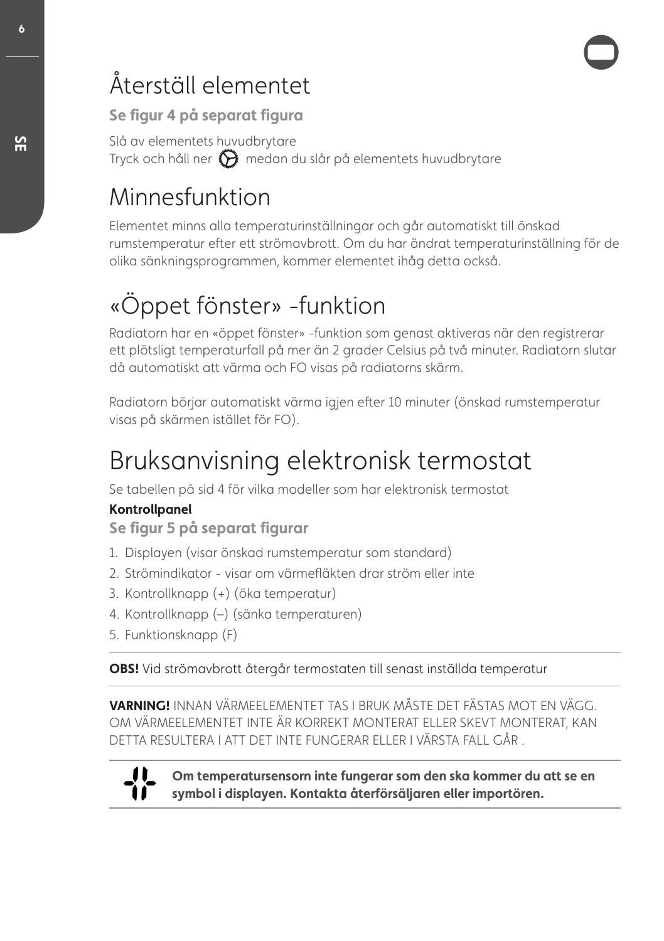# Återställ elementet

Se figur 4 på separat figura

Slå av elementets huvudbrytare Tryck och håll ner  $\bigcirc$  medan du slår på elementets huvudbrytare

# Minnesfunktion

Elementet minns alla temperaturinställningar och går automatiskt till önskad rumstemperatur efer ett strömavbrott. Om du har ändrat temperaturinställning för de olika sänkningsprogrammen, kommer elementet ihåg detta också.

# «Öppet fönster» -funktion

Radiatorn har en «öppet fönster» -funktion som genast aktiveras när den registrerar ett plötsligt temperaturfall på mer än 2 grader Celsius på två minuter. Radiatorn slutar då automatiskt att värma och FO visas på radiatorns skärm.

Radiatorn börjar automatiskt värma igjen efer 10 minuter (önskad rumstemperatur visas på skärmen istället för FO).

# Bruksanvisning elektronisk termostat

Se tabellen på sid 4 för vilka modeller som har elektronisk termostat

#### **Kontrollpanel**

Se figur 5 på separat figurar

- 1. Displayen (visar önskad rumstemperatur som standard)
- 2. Strömindikator visar om värmefäkten drar ström eller inte
- 3. Kontrollknapp (+) (öka temperatur)
- 4. Kontrollknapp (–) (sänka temperaturen)
- 5. Funktionsknapp (F)

**0#4-**Vid strömavbrott återgår termostaten till senast inställda temperatur

**VARNING!** INNAN VÄRMEELEMENTET TAS I BRUK MÅSTE DET FÄSTAS MOT EN VÄGG. OM VÄRMEELEMENTET INTE ÄR KORREKT MONTERAT ELLER SKEVT MONTERAT, KAN DETTA RESULTERA I ATT DET INTE FUNGERAR ELLER I VÄRSTA FALL GÅR .



Om temperatursensorn inte fungerar som den ska kommer du att se en symbol i displayen. Kontakta återförsäljaren eller importören.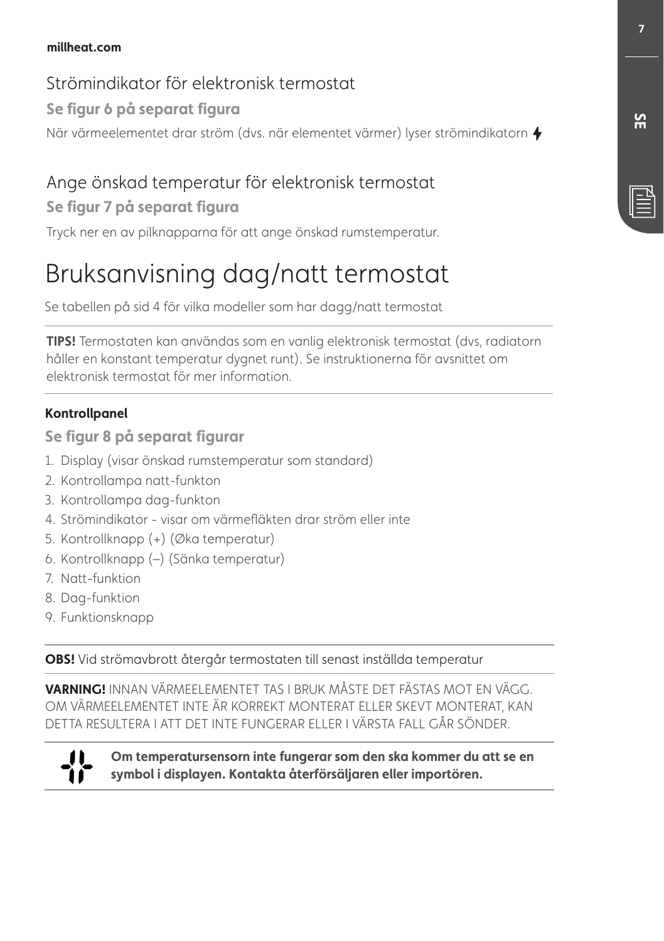#### millheat.com

#### Strömindikator för elektronisk termostat

#### Se figur 6 på separat figura

När värmeelementet drar ström (dvs. när elementet värmer) lyser strömindikatorn  $\blacklozenge$ 

## Ange önskad temperatur för elektronisk termostat

#### Se figur 7 på separat figura

Tryck ner en av pilknapparna för att ange önskad rumstemperatur.

# Bruksanvisning dag/natt termostat

Se tabellen på sid 4 för vilka modeller som har dagg/natt termostat

**TIPS!** Termostaten kan användas som en vanlig elektronisk termostat (dvs, radiatorn håller en konstant temperatur dygnet runt). Se instruktionerna för avsnittet om elektronisk termostat för mer information.

#### **Kontrollpanel**

Se figur 8 på separat figurar

- 1. Display (visar önskad rumstemperatur som standard)
- 2. Kontrollampa natt-funkton
- 3. Kontrollampa dag-funkton
- 4. Strömindikator visar om värmefäkten drar ström eller inte
- 5. Kontrollknapp (+) (Øka temperatur)
- 6. Kontrollknapp (–) (Sänka temperatur)
- 7. Natt-funktion
- 8. Dag-funktion
- 9. Funktionsknapp

**0#4-**Vid strömavbrott återgår termostaten till senast inställda temperatur

**VARNING!** INNAN VÄRMEELEMENTET TAS I BRUK MÅSTE DET FÄSTAS MOT EN VÄGG. OM VÄRMEELEMENTET INTE ÄR KORREKT MONTERAT ELLER SKEVT MONTERAT, KAN DETTA RESULTERA I ATT DET INTE FUNGERAR ELLER I VÄRSTA FALL GÅR SÖNDER.



Om temperatursensorn inte fungerar som den ska kommer du att se en symbol i displayen. Kontakta återförsäljaren eller importören.

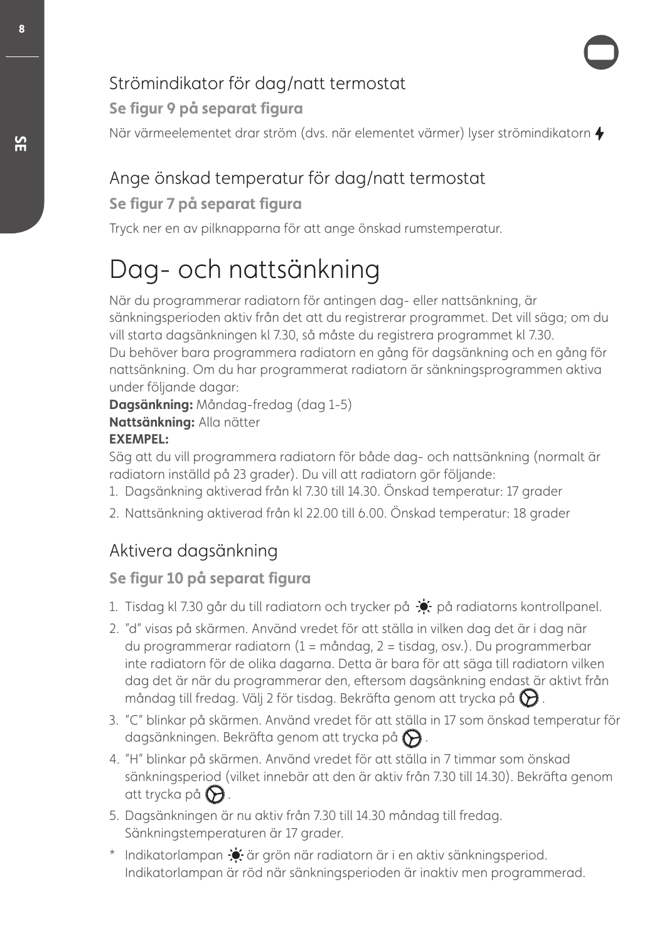# Strömindikator för dag/natt termostat

Se figur 9 på separat figura

När värmeelementet drar ström (dvs. när elementet värmer) lyser strömindikatorn  $\blacklozenge$ 

# Ange önskad temperatur för dag/natt termostat

#### Se figur 7 på separat figura

Tryck ner en av pilknapparna för att ange önskad rumstemperatur.

# Dag- och nattsänkning

När du programmerar radiatorn för antingen dag- eller nattsänkning, är sänkningsperioden aktiv från det att du registrerar programmet. Det vill säga; om du vill starta dagsänkningen kl 7.30, så måste du registrera programmet kl 7.30. Du behöver bara programmera radiatorn en gång för dagsänkning och en gång för nattsänkning. Om du har programmerat radiatorn är sänkningsprogrammen aktiva under följande dagar:

**Dagsänkning:** Måndag-fredag (dag 1-5)

**Nattsänkning: Alla nätter** 

#### **EXEMPEL:**

Säg att du vill programmera radiatorn för både dag- och nattsänkning (normalt är radiatorn inställd på 23 grader). Du vill att radiatorn gör följande:

- 1. Dagsänkning aktiverad från kl 7.30 till 14.30. Önskad temperatur: 17 grader
- 2. Nattsänkning aktiverad från kl 22.00 till 6.00. Önskad temperatur: 18 grader

# Aktivera dagsänkning

## Se figur 10 på separat figura

- 1. Tisdag kl 7.30 går du till radiatorn och trycker på  $\div$  på radiatorns kontrollpanel.
- 2. "d" visas på skärmen. Använd vredet för att ställa in vilken dag det är i dag när du programmerar radiatorn (1 = måndag, 2 = tisdag, osv.). Du programmerbar inte radiatorn för de olika dagarna. Detta är bara för att säga till radiatorn vilken dag det är när du programmerar den, efersom dagsänkning endast är aktivt från måndag till fredag. Välj 2 för tisdag. Bekräfta genom att trycka på  $\bigotimes$ .
- 3. "C" blinkar på skärmen. Använd vredet för att ställa in 17 som önskad temperatur för dagsänkningen. Bekräfta genom att trycka på  $\bigotimes$ .
- 4. "H" blinkar på skärmen. Använd vredet för att ställa in 7 timmar som önskad sänkningsperiod (vilket innebär att den är aktiv från 7.30 till 14.30). Bekräfa genom att trycka på  $\Theta$ .
- 5. Dagsänkningen är nu aktiv från 7.30 till 14.30 måndag till fredag. Sänkningstemperaturen är 17 grader.
- \* Indikatorlampan  $\bullet$  är grön när radiatorn är i en aktiv sänkningsperiod. Indikatorlampan är röd när sänkningsperioden är inaktiv men programmerad.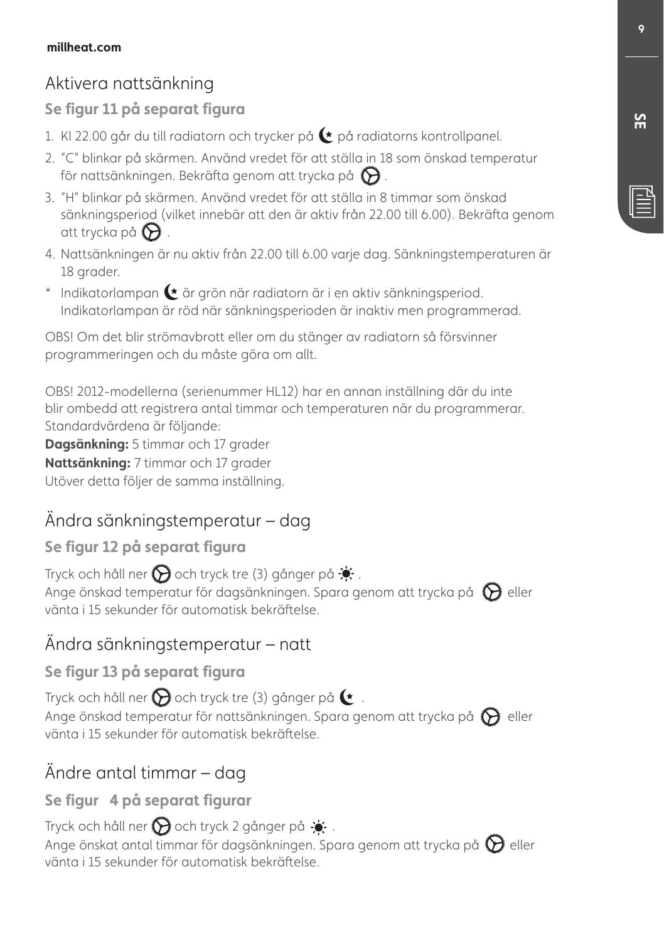# Aktivera nattsänkning

#### Se figur 11 på separat figura

- 1. KI 22.00 går du till radiatorn och trycker på  $\bullet$  på radiatorns kontrollpanel.
- 2. "C" blinkar på skärmen. Använd vredet för att ställa in 18 som önskad temperatur för nattsänkningen. Bekräfta genom att trycka på  $\bigotimes$ .
- 3. "H" blinkar på skärmen. Använd vredet för att ställa in 8 timmar som önskad sänkningsperiod (vilket innebär att den är aktiv från 22.00 till 6.00). Bekräfa genom att trycka på  $\Theta$ .
- 4. Nattsänkningen är nu aktiv från 22.00 till 6.00 varje dag. Sänkningstemperaturen är 18 grader.
- $*$  Indikatorlampan  $\blacktriangleright$  är grön när radiatorn är i en aktiv sänkningsperiod. Indikatorlampan är röd när sänkningsperioden är inaktiv men programmerad.

OBS! Om det blir strömavbrott eller om du stänger av radiatorn så försvinner programmeringen och du måste göra om allt.

OBS! 2012-modellerna (serienummer HL12) har en annan inställning där du inte blir ombedd att registrera antal timmar och temperaturen när du programmerar. Standardvärdena är följande:

**Dagsänkning:** 5 timmar och 17 grader **Nattsänkning:** 7 timmar och 17 grader Utöver detta följer de samma inställning.

# Ändra sänkningstemperatur – dag

#### Se figur 12 på separat figura

Tryck och håll ner  $\bigodot$  och tryck tre (3) gånger på  $\bullet$ . Ange önskad temperatur för dagsänkningen. Spara genom att trycka på  $\bigcirc$  eller vänta i 15 sekunder för automatisk bekräfelse.

## Ändra sänkningstemperatur – natt

#### Se figur 13 på separat figura

Tryck och håll ner  $\bigcirc$  och tryck tre (3) gånger på  $\bullet$ . Ange önskad temperatur för nattsänkningen. Spara genom att trycka på  $\bigcirc$  eller vänta i 15 sekunder för automatisk bekräfelse.

# Ändre antal timmar – dag

Se figur 4 på separat figurar

Tryck och håll ner  $\bigotimes$  och tryck 2 gånger på  $\cdot$ . Ange önskat antal timmar för dagsänkningen. Spara genom att trycka på  $\bigotimes$  eller vänta i 15 sekunder för automatisk bekräfelse.

<u>ጅ</u>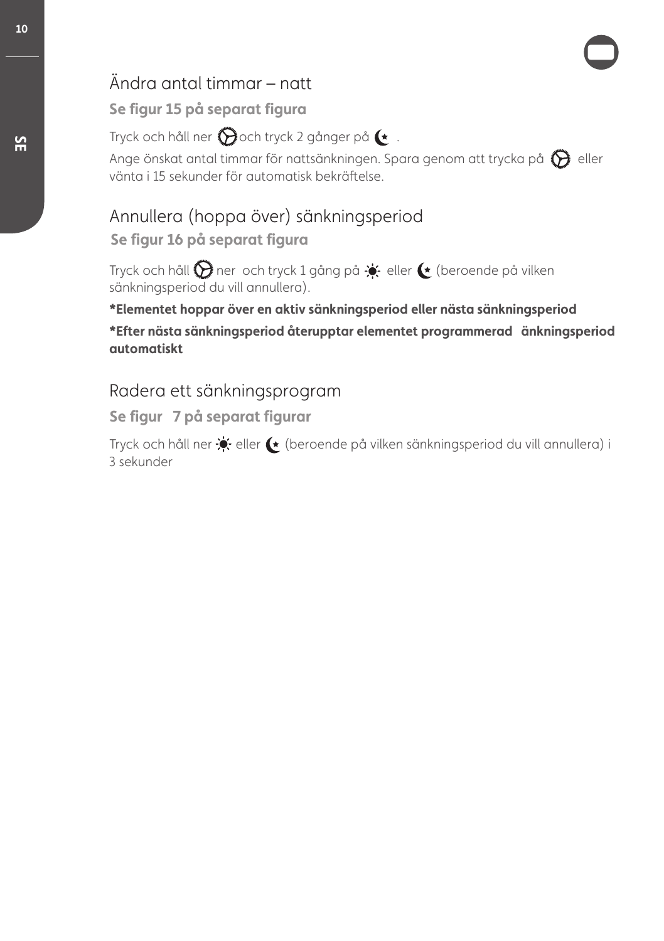# Ändra antal timmar – natt

#### Se figur 15 på separat figura

Tryck och håll ner  $\bigcirc$ och tryck 2 gånger på  $\rightarrow$ .

Ange önskat antal timmar för nattsänkningen. Spara genom att trycka på  $\bigcirc$  eller vänta i 15 sekunder för automatisk bekräfelse.

#### Annullera (hoppa över) sänkningsperiod Se figur 16 på separat figura

Tryck och håll  $\bigcirc$  ner och tryck 1 gång på  $\div$  eller  $\leftrightarrow$  (beroende på vilken sänkningsperiod du vill annullera).

**\*Elementet hoppar över en aktiv sänkningsperiod eller nästa sänkningsperiod** 

**\*Efter nästa sänkningsperiod återupptar elementet programmerad änkningsperiod automatiskt** 

#### Radera ett sänkningsprogram

Se figur 7 på separat figurar

Tryck och håll ner  $\bullet$  eller  $\bullet$  (beroende på vilken sänkningsperiod du vill annullera) i 3 sekunder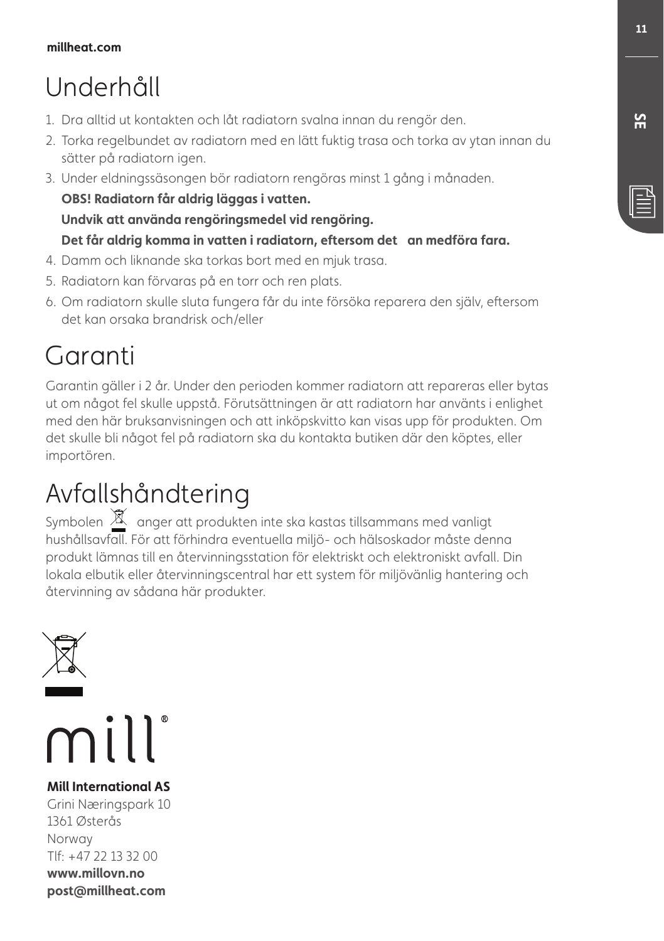# Underhåll

- 1. Dra alltid ut kontakten och låt radiatorn svalna innan du rengör den.
- 2. Torka regelbundet av radiatorn med en lätt fuktig trasa och torka av ytan innan du sätter på radiatorn igen.
- 3. Under eldningssäsongen bör radiatorn rengöras minst 1 gång i månaden. OBS! Radiatorn får aldrig läggas i vatten. Undvik att använda rengöringsmedel vid rengöring.
	- Det får aldrig komma in vatten i radiatorn, eftersom det an medföra fara.
- 4. Damm och liknande ska torkas bort med en mjuk trasa.
- 5. Radiatorn kan förvaras på en torr och ren plats.
- 6. Om radiatorn skulle sluta fungera får du inte försöka reparera den själv, efersom det kan orsaka brandrisk och/eller

# Garanti

Garantin gäller i 2 år. Under den perioden kommer radiatorn att repareras eller bytas ut om något fel skulle uppstå. Förutsättningen är att radiatorn har använts i enlighet med den här bruksanvisningen och att inköpskvitto kan visas upp för produkten. Om det skulle bli något fel på radiatorn ska du kontakta butiken där den köptes, eller importören.

# Avfallshåndtering

Symbolen  $\mathbb X$  anger att produkten inte ska kastas tillsammans med vanligt hushållsavfall. För att förhindra eventuella miljö- och hälsoskador måste denna produkt lämnas till en återvinningsstation för elektriskt och elektroniskt avfall. Din lokala elbutik eller återvinningscentral har ett system för miljövänlig hantering och återvinning av sådana här produkter.



**Mill International AS** Grini Næringspark 10 1361 Østerås Norway Tlf: +47 22 13 32 00 www.millovn.no post@millheat.com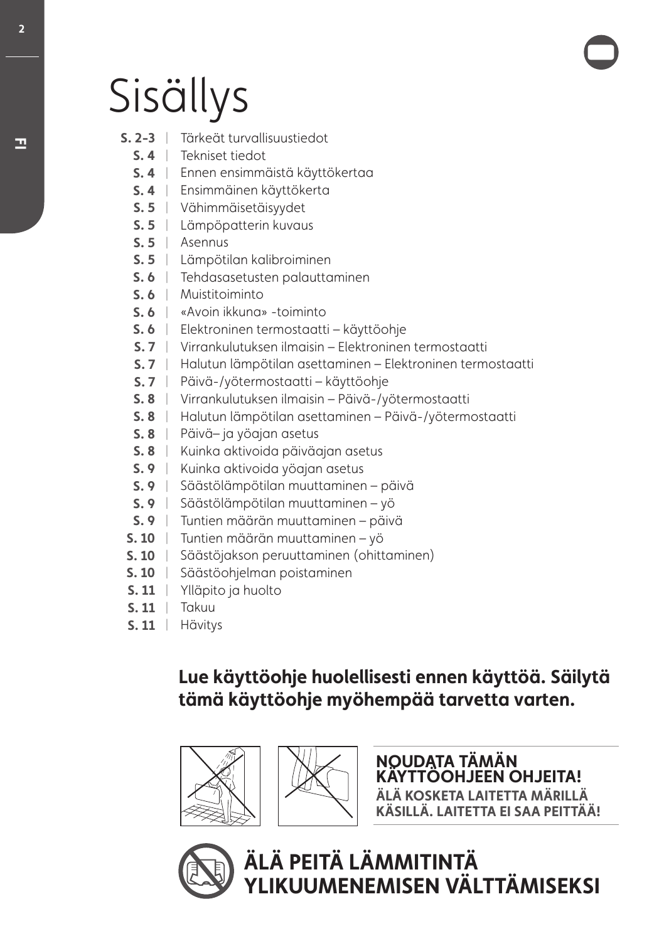# Sisällys

- $|S, 2-3|$ Tärkeät turvallisuustiedot
	- | Tekniset tiedot
	- | Ennen ensimmäistä käyttökertaa
	- | Ensimmäinen käyttökerta
	- | Vähimmäisetäisyydet
	- | Lämpöpatterin kuvaus
	- | Asennus
	- | Lämpötilan kalibroiminen
	- | Tehdasasetusten palauttaminen
	- | Muistitoiminto
	- | «Avoin ikkuna» -toiminto
	- | Elektroninen termostaatti käyttöohje
	- | Virrankulutuksen ilmaisin Elektroninen termostaatti
	- | Halutun lämpötilan asettaminen Elektroninen termostaatti
	- | Päivä-/yötermostaatti käyttöohje
	- | Virrankulutuksen ilmaisin Päivä-/yötermostaatti
	- | Halutun lämpötilan asettaminen Päivä-/yötermostaatti
	- | Päivä– ja yöajan asetus
	- | Kuinka aktivoida päiväajan asetus
	- **S. 9** | Kuinka aktivoida yöajan asetus
	- | Säästölämpötilan muuttaminen päivä
	- | Säästölämpötilan muuttaminen yö
	- | Tuntien määrän muuttaminen päivä
- | Tuntien määrän muuttaminen yö
- | Säästöjakson peruuttaminen (ohittaminen)
- | Säästöohjelman poistaminen
- | Ylläpito ja huolto
- **5.11** | Takuu
- **5. 11** | Hävitys

# Lue käyttöohje huolellisesti ennen käyttöä. Säilytä tämä käyttöohje myöhempää tarvetta varten.





NOUDATA TÄMÄN<br>KÄYTTÖOHJEEN OHJEITA! **ALA KOSKETA LAITETTA MÄRILLÄ KÄSILLÄ. LAITETTA EI SAA PEITTÄÄ!** 



<u>ÄLÄ PEITÄ LÄMMITINTÄ</u> YLIKUUMENEMISEN VÄLTTÄMISEKSI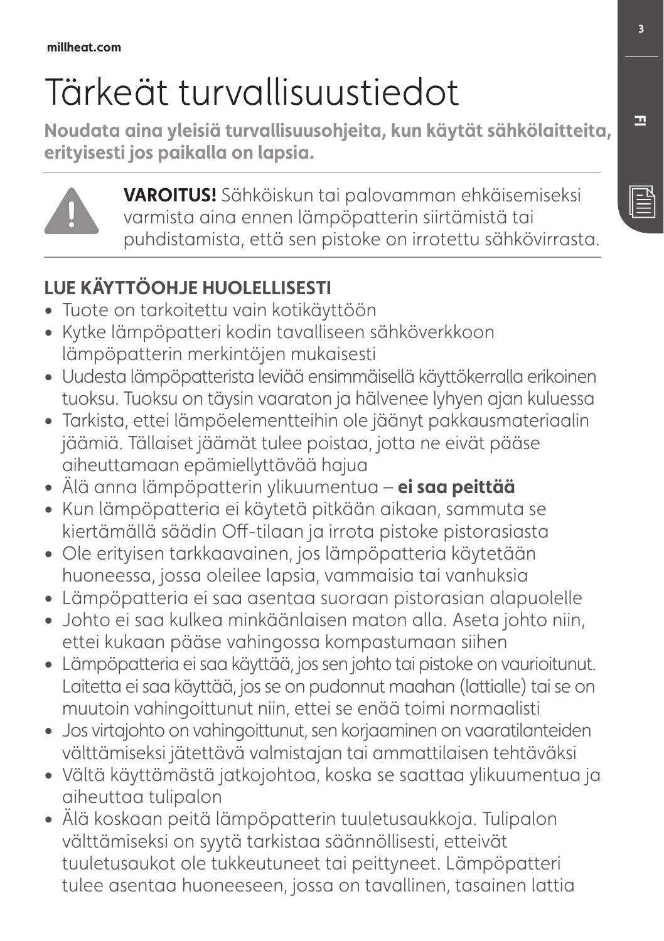# Tärkeät turvallisuustiedot

Noudata aina yleisiä turvallisuusohjeita, kun käytät sähkölaitteita, eritvisesti jos paikalla on lapsia.



**7"30\*564-**Sähköiskun tai palovamman ehkäisemiseksi varmista aina ennen lämpöpatterin siirtämistä tai puhdistamista, että sen pistoke on irrotettu sähkövirrasta.

# **LUE KÄYTTÖOH IE HUOLELLISESTI**

- **ŕ** Tuote on tarkoitettu vain kotikäyttöön
- **ŕ** Kytke lämpöpatteri kodin tavalliseen sähköverkkoon lämpöpatterin merkintöjen mukaisesti
- **ŕ** Uudesta lämpöpatterista leviää ensimmäisellä käyttökerralla erikoinen tuoksu. Tuoksu on täysin vaaraton ja hälvenee lyhyen ajan kuluessa
- **ŕ** Tarkista, ettei lämpöelementteihin ole jäänyt pakkausmateriaalin jäämiä. Tällaiset jäämät tulee poistaa, jotta ne eivät pääse aiheuttamaan epämiellyttävää hajua
- Älä anna lämpöpatterin ylikuumentua **ei saa peittää**
- **ŕ** Kun lämpöpatteria ei käytetä pitkään aikaan, sammuta se kiertämällä säädin Of-tilaan ja irrota pistoke pistorasiasta
- **ŕ** Ole erityisen tarkkaavainen, jos lämpöpatteria käytetään huoneessa, jossa oleilee lapsia, vammaisia tai vanhuksia
- **ŕ** Lämpöpatteria ei saa asentaa suoraan pistorasian alapuolelle
- **ŕ** Johto ei saa kulkea minkäänlaisen maton alla. Aseta johto niin, ettei kukaan pääse vahingossa kompastumaan siihen
- **ŕ** Lämpöpatteria ei saa käyttää, jos sen johto tai pistoke on vaurioitunut. Laitetta ei saa käyttää, jos se on pudonnut maahan (lattialle) tai se on muutoin vahingoittunut niin, ettei se enää toimi normaalisti
- **ŕ** Jos virtajohto on vahingoittunut, sen korjaaminen on vaaratilanteiden välttämiseksi jätettävä valmistajan tai ammattilaisen tehtäväksi
- **ŕ** Vältä käyttämästä jatkojohtoa, koska se saattaa ylikuumentua ja aiheuttaa tulipalon
- **ŕ** Älä koskaan peitä lämpöpatterin tuuletusaukkoja. Tulipalon välttämiseksi on syytä tarkistaa säännöllisesti, etteivät tuuletusaukot ole tukkeutuneet tai peittyneet. Lämpöpatteri tulee asentaa huoneeseen, jossa on tavallinen, tasainen lattia

**'\***

 $\mathbb{\bar{E}}$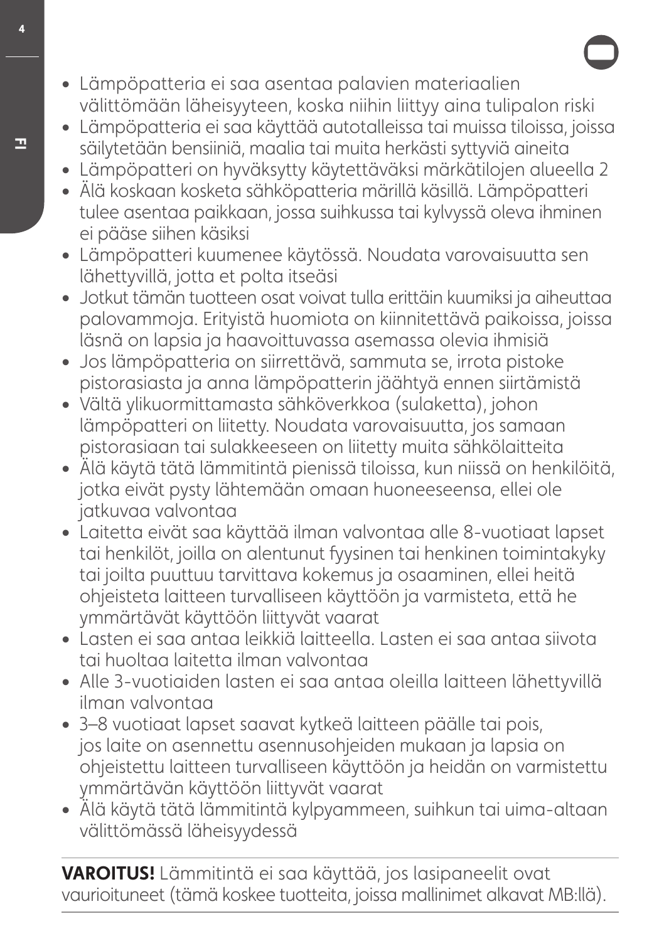- **ŕ** Lämpöpatteria ei saa asentaa palavien materiaalien välittömään läheisyyteen, koska niihin liittyy aina tulipalon riski
- **ŕ** Lämpöpatteria ei saa käyttää autotalleissa tai muissa tiloissa, joissa säilytetään bensiiniä, maalia tai muita herkästi syttyviä aineita
- **ŕ** Lämpöpatteri on hyväksytty käytettäväksi märkätilojen alueella 2
- **ŕ** Älä koskaan kosketa sähköpatteria märillä käsillä. Lämpöpatteri tulee asentaa paikkaan, jossa suihkussa tai kylvyssä oleva ihminen ei pääse siihen käsiksi
- **ŕ** Lämpöpatteri kuumenee käytössä. Noudata varovaisuutta sen lähettyvillä, jotta et polta itseäsi
- **ŕ** Jotkut tämän tuotteen osat voivat tulla erittäin kuumiksi ja aiheuttaa palovammoja. Erityistä huomiota on kiinnitettävä paikoissa, joissa läsnä on lapsia ja haavoittuvassa asemassa olevia ihmisiä
- **ŕ** Jos lämpöpatteria on siirrettävä, sammuta se, irrota pistoke pistorasiasta ja anna lämpöpatterin jäähtyä ennen siirtämistä
- **ŕ** Vältä ylikuormittamasta sähköverkkoa (sulaketta), johon lämpöpatteri on liitetty. Noudata varovaisuutta, jos samaan pistorasiaan tai sulakkeeseen on liitetty muita sähkölaitteita
- **ŕ** Älä käytä tätä lämmitintä pienissä tiloissa, kun niissä on henkilöitä, jotka eivät pysty lähtemään omaan huoneeseensa, ellei ole jatkuvaa valvontaa
- **ŕ** Laitetta eivät saa käyttää ilman valvontaa alle 8-vuotiaat lapset tai henkilöt, joilla on alentunut fysinen tai henkinen toimintakyky tai joilta puuttuu tarvittava kokemus ja osaaminen, ellei heitä ohjeisteta laitteen turvalliseen käyttöön ja varmisteta, että he ymmärtävät käyttöön liittyvät vaarat
- **ŕ** Lasten ei saa antaa leikkiä laitteella. Lasten ei saa antaa siivota tai huoltaa laitetta ilman valvontaa
- **ŕ** Alle 3-vuotiaiden lasten ei saa antaa oleilla laitteen lähettyvillä ilman valvontaa
- **ŕ** 3–8 vuotiaat lapset saavat kytkeä laitteen päälle tai pois, jos laite on asennettu asennusohjeiden mukaan ja lapsia on ohjeistettu laitteen turvalliseen käyttöön ja heidän on varmistettu ymmärtävän käyttöön liittyvät vaarat
- **ŕ** Älä käytä tätä lämmitintä kylpyammeen, suihkun tai uima-altaan välittömässä läheisyydessä

**7"30\*564-** Lämmitintä ei saa käyttää, jos lasipaneelit ovat vaurioituneet (tämä koskee tuotteita, joissa mallinimet alkavat MB:llä).

A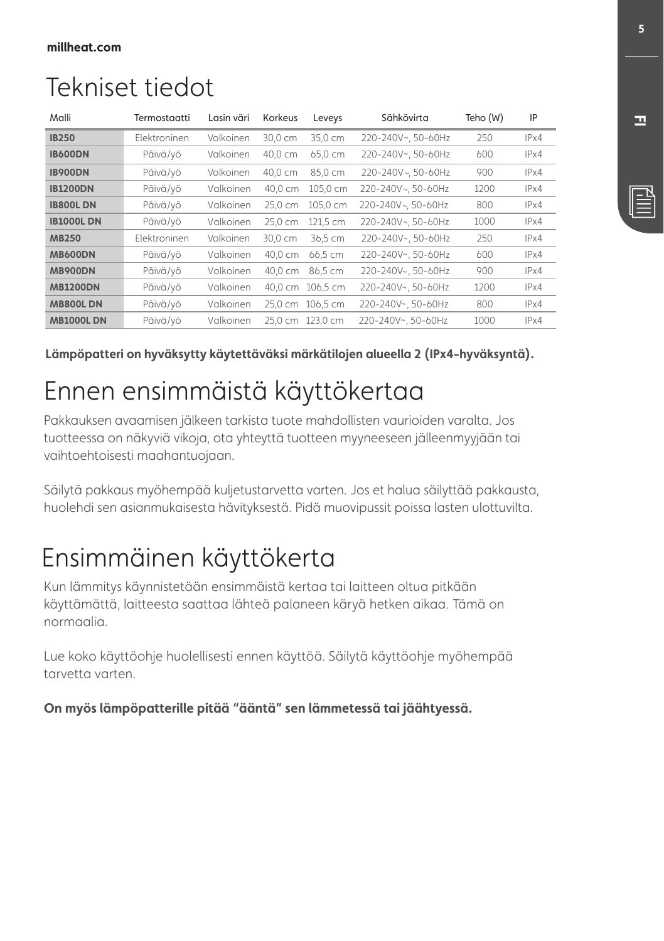# Tekniset tiedot

| Malli            | Termostaatti        | Lasin väri | Korkeus | Leveys           | Sähkövirta         | Teho (W) | IP   |
|------------------|---------------------|------------|---------|------------------|--------------------|----------|------|
| <b>IB250</b>     | <b>Elektroninen</b> | Volkoinen  | 30.0 cm | 35,0 cm          | 220-240V~, 50-60Hz | 250      | IPx4 |
| <b>IB600DN</b>   | Päivä/vö            | Valkoinen  | 40,0 cm | 65,0 cm          | 220-240V~, 50-60Hz | 600      | IPx4 |
| <b>IB900DN</b>   | Päivä/vö            | Volkoinen  | 40.0 cm | 85.0 cm          | 220-240V~, 50-60Hz | 900      | IPx4 |
| <b>IB1200DN</b>  | Päivä/vö            | Valkoinen  | 40.0 cm | 105.0 cm         | 220-240V~. 50-60Hz | 1200     | IPx4 |
| <b>IB800LDN</b>  | Päivä/vö            | Valkoinen  | 25,0 cm | 105.0 cm         | 220-240V~. 50-60Hz | 800      | IPx4 |
| <b>IB1000LDN</b> | Päivä/vö            | Valkoinen  | 25.0 cm | 121,5 cm         | 220-240V~, 50-60Hz | 1000     | IPx4 |
| <b>MB250</b>     | <b>Elektroninen</b> | Volkoinen  | 30.0 cm | 36.5 cm          | 220-240V~, 50-60Hz | 250      | IPx4 |
| <b>MB600DN</b>   | Päivä/vö            | Valkoinen  | 40.0 cm | 66,5 cm          | 220-240V~, 50-60Hz | 600      | IPx4 |
| <b>MB900DN</b>   | Päivä/vö            | Volkoinen  | 40.0 cm | 86.5 cm          | 220-240V~, 50-60Hz | 900      | IPx4 |
| <b>MB1200DN</b>  | Päivä/vö            | Valkoinen  |         | 40,0 cm 106,5 cm | 220-240V~, 50-60Hz | 1200     | IPx4 |
| <b>MB800LDN</b>  | Päivä/vö            | Valkoinen  | 25.0 cm | 106,5 cm         | 220-240V~, 50-60Hz | 800      | IPx4 |
| <b>MB1000LDN</b> | Päivä/vö            | Valkoinen  | 25,0 cm | 123.0 cm         | 220-240V~, 50-60Hz | 1000     | IPx4 |

Lämpöpatteri on hyväksytty käytettäväksi märkätilojen alueella 2 (IPx4-hyväksyntä).

# Ennen ensimmäistä käyttökertaa

Pakkauksen avaamisen jälkeen tarkista tuote mahdollisten vaurioiden varalta. Jos tuotteessa on näkyviä vikoja, ota yhteyttä tuotteen myyneeseen jälleenmyyjään tai vaihtoehtoisesti maahantuojaan.

Säilytä pakkaus myöhempää kuljetustarvetta varten. Jos et halua säilyttää pakkausta, huolehdi sen asianmukaisesta hävityksestä. Pidä muovipussit poissa lasten ulottuvilta.

# Ensimmäinen käyttökerta

Kun lämmitys käynnistetään ensimmäistä kertaa tai laitteen oltua pitkään käyttämättä, laitteesta saattaa lähteä palaneen käryä hetken aikaa. Tämä on normaalia.

Lue koko käyttöohje huolellisesti ennen käyttöä. Säilytä käyttöohje myöhempää tarvetta varten.

On myös lämpöpatterille pitää "ääntä" sen lämmetessä tai jäähtyessä.

**'\***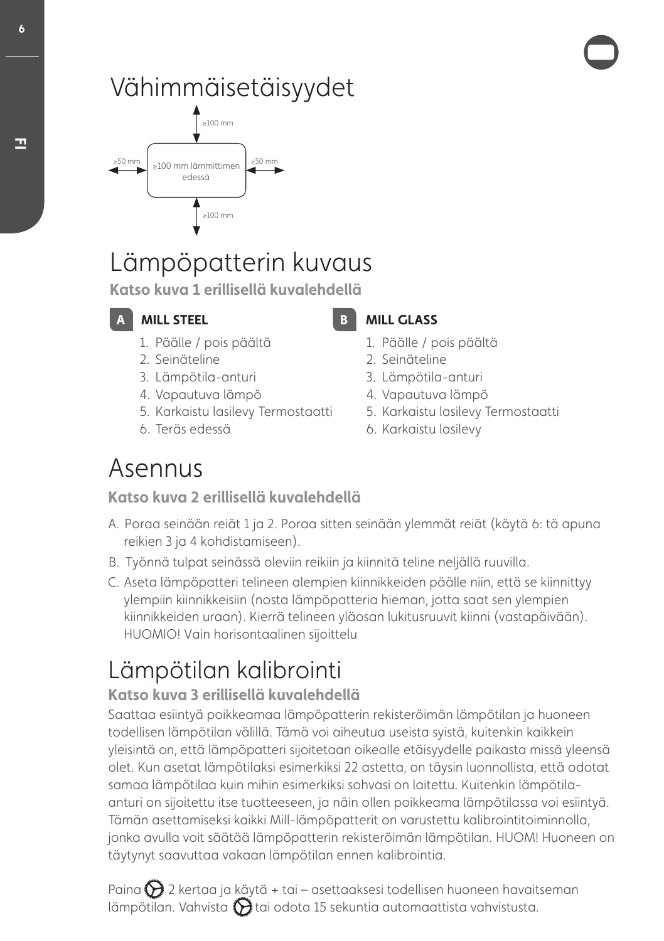# Vähimmäisetäisyydet



# Lämpöpatterin kuvaus

Katso kuva 1 erillisellä kuvalehdellä

**WILL STEEL** 

- 1. Päälle / pois päältä
- 2. Seinäteline
- 3. Lämpötila-anturi
- 4. Vapautuva lämpö
- 5. Karkaistu lasilevy Termostaatti
- 6. Teräs edessä

**MILL GLASS** 

- 1. Päälle / pois päältä
- 2. Seinäteline
- 3. Lämpötila-anturi
- 4. Vapautuva lämpö
- 5. Karkaistu lasilevy Termostaatti
- 6. Karkaistu lasilevy

# Asennus

Katso kuva 2 erillisellä kuvalehdellä

- Ɵ Poraa seinään reiät 1 ja 2. Poraa sitten seinään ylemmät reiät (käytä 6: tä apuna reikien 3 ja 4 kohdistamiseen).
- B. Työnnä tulpat seinässä oleviin reikiin ja kiinnitä teline neljällä ruuvilla.
- " Aseta lämpöpatteri telineen alempien kiinnikkeiden päälle niin, että se kiinnittyy ylempiin kiinnikkeisiin (nosta lämpöpatteria hieman, jotta saat sen ylempien kiinnikkeiden uraan). Kierrä telineen yläosan lukitusruuvit kiinni (vastapäivään). HUOMIO! Vain horisontaalinen sijoittelu

# Lämpötilan kalibrointi

# Katso kuva 3 erillisellä kuvalehdellä

Saattaa esiintyä poikkeamaa lämpöpatterin rekisteröimän lämpötilan ja huoneen todellisen lämpötilan välillä. Tämä voi aiheutua useista syistä, kuitenkin kaikkein yleisintä on, että lämpöpatteri sijoitetaan oikealle etäisyydelle paikasta missä yleensä olet. Kun asetat lämpötilaksi esimerkiksi 22 astetta, on täysin luonnollista, että odotat samaa lämpötilaa kuin mihin esimerkiksi sohvasi on laitettu. Kuitenkin lämpötilaanturi on sijoitettu itse tuotteeseen, ja näin ollen poikkeama lämpötilassa voi esiintyä. Tämän asettamiseksi kaikki Mill-lämpöpatterit on varustettu kalibrointitoiminnolla, jonka avulla voit säätää lämpöpatterin rekisteröimän lämpötilan. HUOM! Huoneen on täytynyt saavuttaa vakaan lämpötilan ennen kalibrointia.

Paina  $\sum$  2 kertaa ja käytä + tai – asettaaksesi todellisen huoneen havaitseman lämpötilan. Vahvista  $\bigcirc$ tai odota 15 sekuntia automaattista vahvistusta.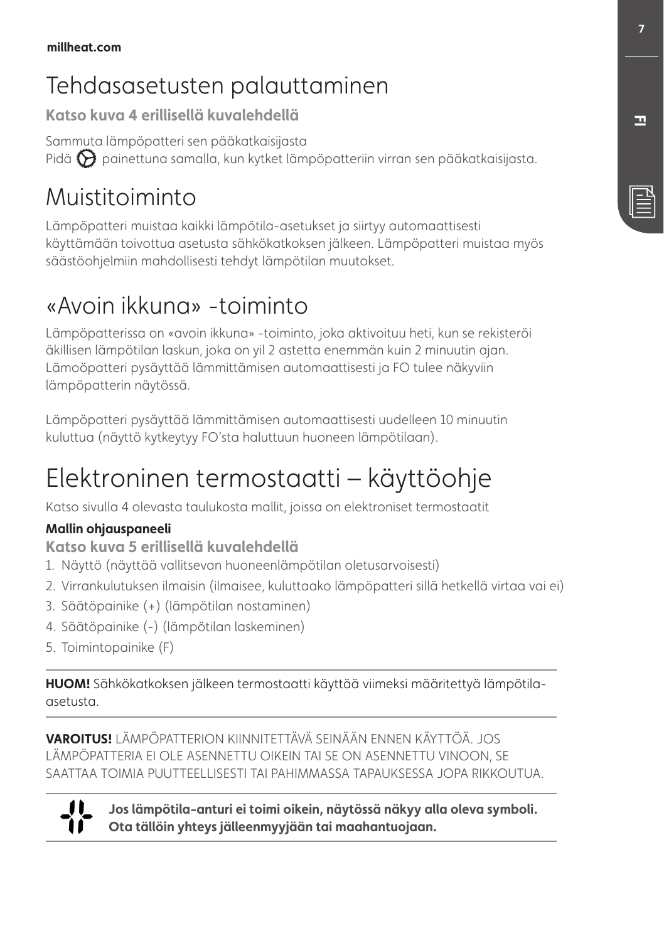# Tehdasasetusten palauttaminen

Katso kuva 4 erillisellä kuvalehdellä

Sammuta lämpöpatteri sen pääkatkaisijasta Pidä  $\bigotimes$  painettuna samalla, kun kytket lämpöpatteriin virran sen pääkatkaisijasta.

# Muistitoiminto

Lämpöpatteri muistaa kaikki lämpötila-asetukset ja siirtyy automaattisesti käyttämään toivottua asetusta sähkökatkoksen jälkeen. Lämpöpatteri muistaa myös säästöohjelmiin mahdollisesti tehdyt lämpötilan muutokset.

# «Avoin ikkuna» -toiminto

Lämpöpatterissa on «avoin ikkuna» -toiminto, joka aktivoituu heti, kun se rekisteröi äkillisen lämpötilan laskun, joka on yil 2 astetta enemmän kuin 2 minuutin ajan. Lämoöpatteri pysäyttää lämmittämisen automaattisesti ja FO tulee näkyviin lämpöpatterin näytössä.

Lämpöpatteri pysäyttää lämmittämisen automaattisesti uudelleen 10 minuutin kuluttua (näyttö kytkeytyy FO'sta haluttuun huoneen lämpötilaan).

# Elektroninen termostaatti – käyttöohje

Katso sivulla 4 olevasta taulukosta mallit, joissa on elektroniset termostaatit

#### **Mallin ohiauspaneeli**

**Katso kuva 5 erillisellä kuvalehdellä** 

- 1. Näyttö (näyttää vallitsevan huoneenlämpötilan oletusarvoisesti)
- 2. Virrankulutuksen ilmaisin (ilmaisee, kuluttaako lämpöpatteri sillä hetkellä virtaa vai ei)
- 3. Säätöpainike (+) (lämpötilan nostaminen)
- 4. Säätöpainike (-) (lämpötilan laskeminen)
- 5. Toimintopainike (F)

**HUOM!** Sähkökatkoksen jälkeen termostaatti käyttää viimeksi määritettyä lämpötilaasetusta.

**VAROITUS!** LÄMPÖPATTERION KIINNITETTÄVÄ SEINÄÄN ENNEN KÄYTTÖÄ. JOS LÄMPÖPATTERIA EI OLE ASENNETTU OIKEIN TAI SE ON ASENNETTU VINOON, SE SAATTAA TOIMIA PUUTTEELLISESTI TAI PAHIMMASSA TAPAUKSESSA JOPA RIKKOUTUA.

"

Jos lämpötila-anturi ei toimi oikein, näytössä näkyy alla oleva symboli. Ota tällöin yhtevs jälleenmyviään tai maahantuojaan.

**'\***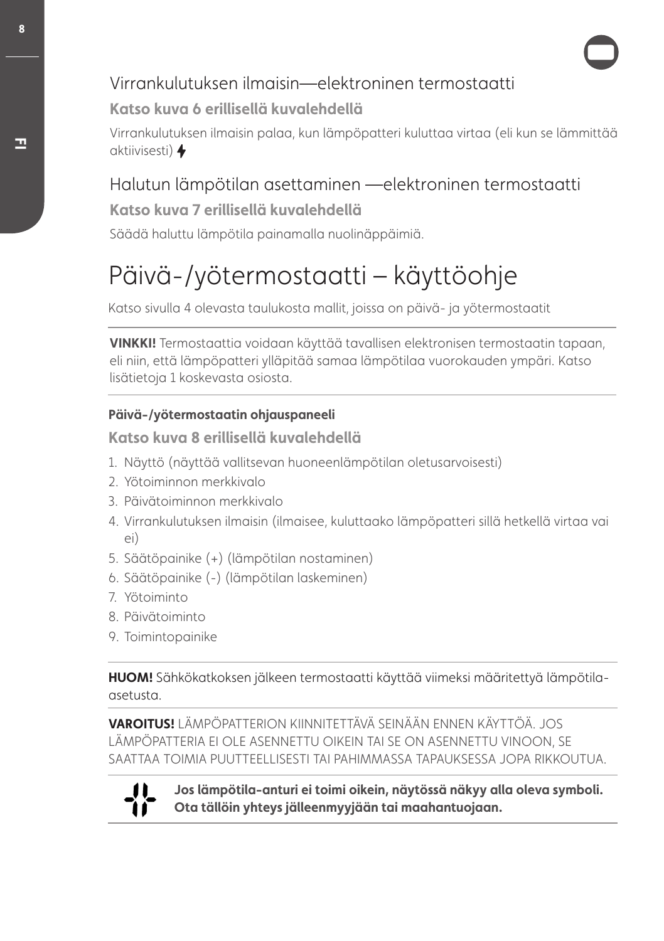# Virrankulutuksen ilmaisin—elektroninen termostaatti

#### Katso kuva 6 erillisellä kuvalehdellä

Virrankulutuksen ilmaisin palaa, kun lämpöpatteri kuluttaa virtaa (eli kun se lämmittää aktiivisesti)

# Halutun lämpötilan asettaminen —elektroninen termostaatti

#### **Katso kuva 7 erillisellä kuvalehdellä**

Säädä haluttu lämpötila painamalla nuolinäppäimiä.

# Päivä-/yötermostaatti – käyttöohje

Katso sivulla 4 olevasta taulukosta mallit, joissa on päivä- ja yötermostaatit

**7\*/,,\*-**Termostaattia voidaan käyttää tavallisen elektronisen termostaatin tapaan, eli niin, että lämpöpatteri ylläpitää samaa lämpötilaa vuorokauden ympäri. Katso lisätietoja 1 koskevasta osiosta.

#### Päivä-/vötermostaatin ohjauspaneeli

Katso kuva 8 erillisellä kuvalehdellä

- 1. Näyttö (näyttää vallitsevan huoneenlämpötilan oletusarvoisesti)
- 2. Yötoiminnon merkkivalo
- 3. Päivätoiminnon merkkivalo
- 4. Virrankulutuksen ilmaisin (ilmaisee, kuluttaako lämpöpatteri sillä hetkellä virtaa vai ei)
- 5. Säätöpainike (+) (lämpötilan nostaminen)
- 6. Säätöpainike (-) (lämpötilan laskeminen)
- 7. Yötoiminto
- 8. Päivätoiminto
- 9. Toimintopainike

**HUOM!** Sähkökatkoksen jälkeen termostaatti käyttää viimeksi määritettyä lämpötilaasetusta.

**VAROITUS!** LÄMPÖPATTERION KIINNITETTÄVÄ SEINÄÄN ENNEN KÄYTTÖÄ. JOS LÄMPÖPATTERIA EI OLE ASENNETTU OIKEIN TAI SE ON ASENNETTU VINOON, SE SAATTAA TOIMIA PUUTTEELLISESTI TAI PAHIMMASSA TAPAUKSESSA JOPA RIKKOUTUA.



Jos lämpötila-anturi ei toimi oikein, näytössä näkyy alla oleva symboli. Ota tällöin yhteys jälleenmyyjään tai maahantuojaan.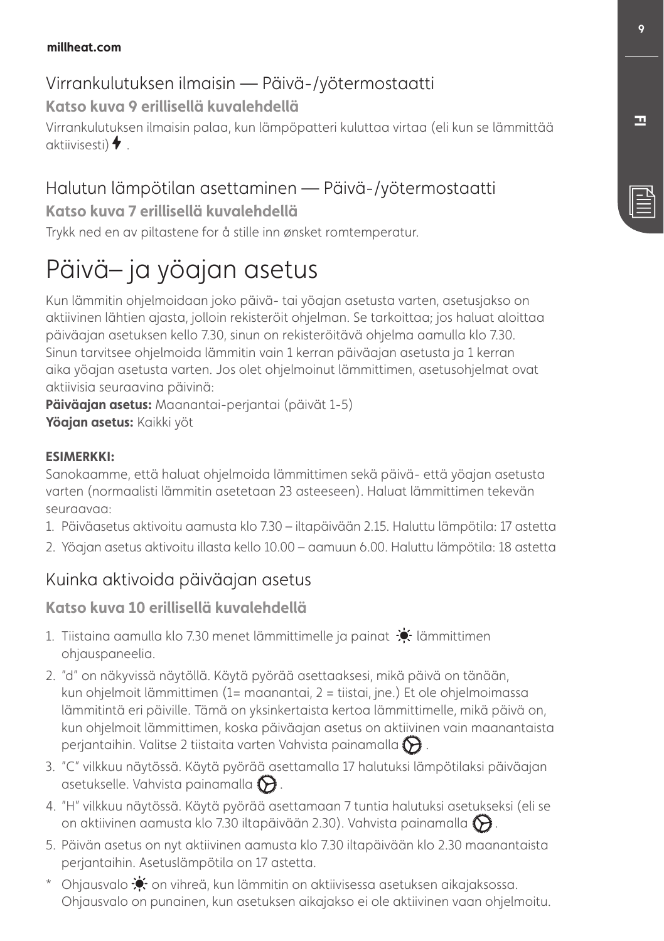#### millheat.com

# Virrankulutuksen ilmaisin — Päivä-/yötermostaatti

Katso kuva 9 erillisellä kuvalehdellä

Virrankulutuksen ilmaisin palaa, kun lämpöpatteri kuluttaa virtaa (eli kun se lämmittää aktiivisesti)  $\blacklozenge$ 

# Halutun lämpötilan asettaminen — Päivä-/yötermostaatti

**Katso kuva 7 erillisellä kuvalehdellä** 

Trykk ned en av piltastene for å stille inn ønsket romtemperatur.

# Päivä– ja yöajan asetus

Kun lämmitin ohjelmoidaan joko päivä- tai yöajan asetusta varten, asetusjakso on aktiivinen lähtien ajasta, jolloin rekisteröit ohjelman. Se tarkoittaa; jos haluat aloittaa päiväajan asetuksen kello 7.30, sinun on rekisteröitävä ohjelma aamulla klo 7.30. Sinun tarvitsee ohjelmoida lämmitin vain 1 kerran päiväajan asetusta ja 1 kerran aika yöajan asetusta varten. Jos olet ohjelmoinut lämmittimen, asetusohjelmat ovat aktiivisia seuraavina päivinä:

Päiväajan asetus: Maanantai-perjantai (päivät 1-5) Yöajan asetus: Kaikki yöt

#### **ESIMERKKI**

Sanokaamme, että haluat ohjelmoida lämmittimen sekä päivä- että yöajan asetusta varten (normaalisti lämmitin asetetaan 23 asteeseen). Haluat lämmittimen tekevän seuraavaa:

- 1. Päiväasetus aktivoitu aamusta klo 7.30 iltapäivään 2.15. Haluttu lämpötila: 17 astetta
- 2. Yöajan asetus aktivoitu illasta kello 10.00 aamuun 6.00. Haluttu lämpötila: 18 astetta

# Kuinka aktivoida päiväajan asetus

#### Katso kuva 10 erillisellä kuvalehdellä

- 1. Tiistaina aamulla klo 7.30 menet lämmittimelle ja painat  $\mathcal{N}$  lämmittimen ohjauspaneelia.
- 2. "d" on näkyvissä näytöllä. Käytä pyörää asettaaksesi, mikä päivä on tänään, kun ohjelmoit lämmittimen (1= maanantai, 2 = tiistai, jne.) Et ole ohjelmoimassa lämmitintä eri päiville. Tämä on yksinkertaista kertoa lämmittimelle, mikä päivä on, kun ohjelmoit lämmittimen, koska päiväajan asetus on aktiivinen vain maanantaista perjantaihin. Valitse 2 tiistaita varten Vahvista painamalla  $\bigotimes$  .
- 3. "C" vilkkuu näytössä. Käytä pyörää asettamalla 17 halutuksi lämpötilaksi päiväajan asetukselle. Vahvista painamalla  $\bigotimes$ .
- 4. "H" vilkkuu näytössä. Käytä pyörää asettamaan 7 tuntia halutuksi asetukseksi (eli se on aktiivinen aamusta klo 7.30 iltapäivään 2.30). Vahvista painamalla  $\bigotimes$ .
- 5. Päivän asetus on nyt aktiivinen aamusta klo 7.30 iltapäivään klo 2.30 maanantaista perjantaihin. Asetuslämpötila on 17 astetta.
- \* Ohjausvalo  $\bullet$  on vihreä, kun lämmitin on aktiivisessa asetuksen aikajaksossa. Ohjausvalo on punainen, kun asetuksen aikajakso ei ole aktiivinen vaan ohjelmoitu.

**'\***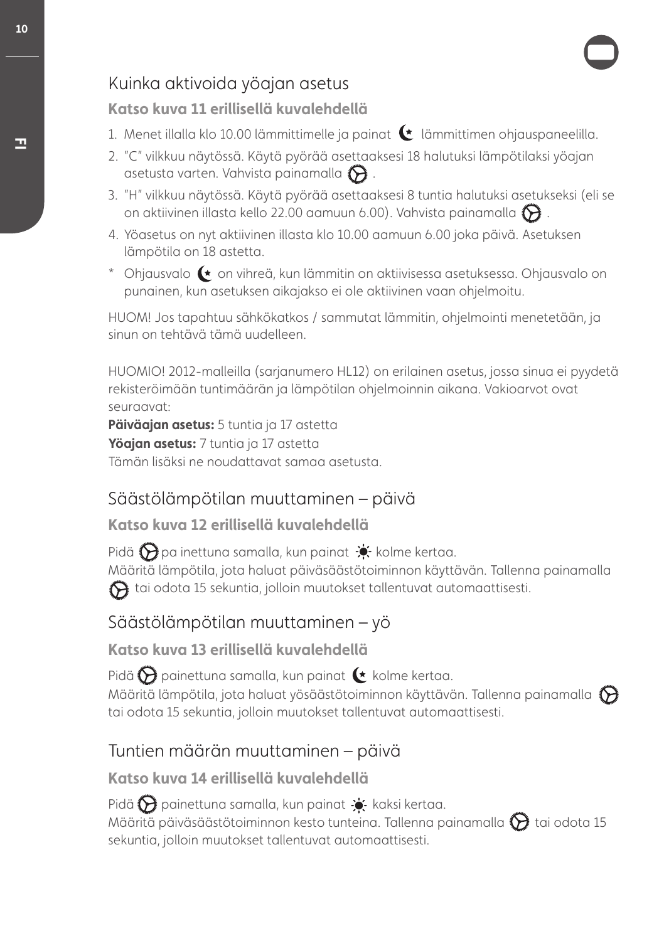# Kuinka aktivoida yöajan asetus

#### Katso kuva 11 erillisellä kuvalehdellä

- 1. Menet illalla klo 10.00 lämmittimelle ja painat (t lämmittimen ohjauspaneelilla.
- 2. "C" vilkkuu näytössä. Käytä pyörää asettaaksesi 18 halutuksi lämpötilaksi yöajan asetusta varten. Vahvista painamalla  $\bigcirc$ .
- 3. "H" vilkkuu näytössä. Käytä pyörää asettaaksesi 8 tuntia halutuksi asetukseksi (eli se on aktiivinen illasta kello 22.00 aamuun 6.00). Vahvista painamalla  $\bigotimes$  .
- 4. Yöasetus on nyt aktiivinen illasta klo 10.00 aamuun 6.00 joka päivä. Asetuksen lämpötila on 18 astetta.
- \* Ohjausvalo  $\blacklozenge$  on vihreä, kun lämmitin on aktiivisessa asetuksessa. Ohjausvalo on punainen, kun asetuksen aikajakso ei ole aktiivinen vaan ohjelmoitu.

HUOM! Jos tapahtuu sähkökatkos / sammutat lämmitin, ohjelmointi menetetään, ja sinun on tehtävä tämä uudelleen.

HUOMIO! 2012-malleilla (sarjanumero HL12) on erilainen asetus, jossa sinua ei pyydetä rekisteröimään tuntimäärän ja lämpötilan ohjelmoinnin aikana. Vakioarvot ovat seuraavat:

Päiväaian asetus: 5 tuntia ja 17 astetta Yöajan asetus: 7 tuntia ja 17 astetta Tämän lisäksi ne noudattavat samaa asetusta.

# Säästölämpötilan muuttaminen – päivä

#### Katso kuva 12 erillisellä kuvalehdellä

Pidä  $\bigcirc$  pa inettuna samalla, kun painat  $\bullet$ , kolme kertaa. Määritä lämpötila, jota haluat päiväsäästötoiminnon käyttävän. Tallenna painamalla  $\bigodot$  tai odota 15 sekuntia, jolloin muutokset tallentuvat automaattisesti.

# Säästölämpötilan muuttaminen – yö

Katso kuya 13 erillisellä kuvalehdellä

Pidä  $\bigcirc$  painettuna samalla, kun painat  $\leftarrow$  kolme kertaa.

Määritä lämpötila, jota haluat yösäästötoiminnon käyttävän. Tallenna painamalla  $\bigotimes$ tai odota 15 sekuntia, jolloin muutokset tallentuvat automaattisesti.

## Tuntien määrän muuttaminen – päivä

#### Katso kuva 14 erillisellä kuvalehdellä

Pidä  $\bigodot$  painettuna samalla, kun painat  $\bullet$  kaksi kertaa. Määritä päiväsäästötoiminnon kesto tunteina. Tallenna painamalla  $\bigotimes$ tai odota 15 sekuntia, jolloin muutokset tallentuvat automaattisesti.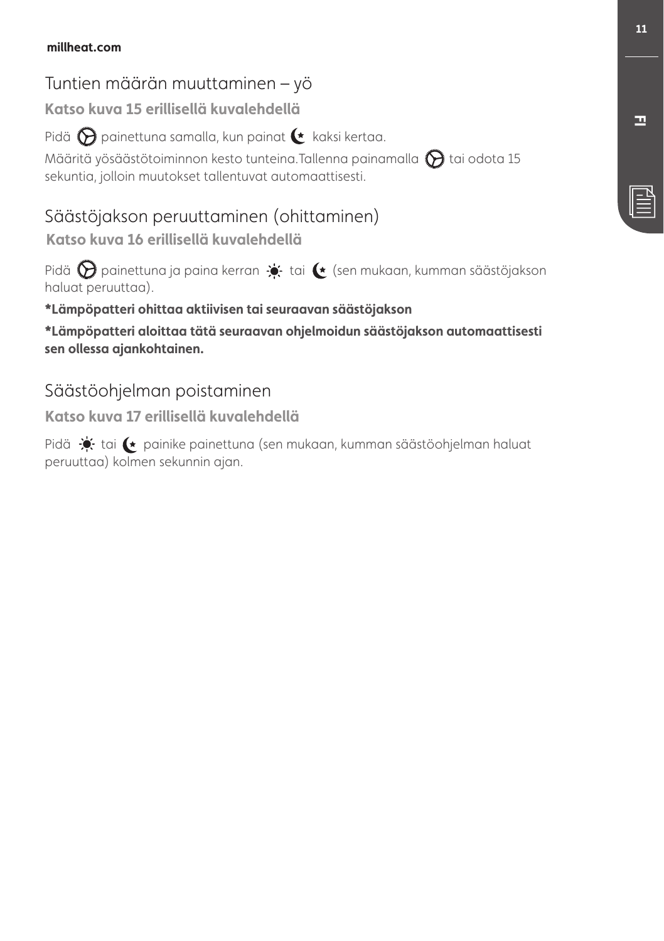#### millheat.com

# Tuntien määrän muuttaminen – yö

Katso kuva 15 erillisellä kuvalehdellä

Pidä  $\bigotimes$  painettuna samalla, kun painat  $\bullet$  kaksi kertaa.

Määritä yösäästötoiminnon kesto tunteina.Tallenna painamalla  $\bigcirc$ tai odota 15 sekuntia, jolloin muutokset tallentuvat automaattisesti.

# Säästöjakson peruuttaminen (ohittaminen)

Katso kuva 16 erillisellä kuvalehdellä

Pidä  $\bigotimes$  painettuna ja paina kerran  $\Rightarrow$  tai  $\leftarrow$  (sen mukaan, kumman säästöjakson haluat peruuttaa).

#### \*Lämpöpatteri ohittaa aktiivisen tai seuraavan säästöjakson

**-NQ°QBUUFSJBMPJUUBBUUTFVSBBWBOPIKFMNPJEVOTTU°KBLTPOBVUPNBBUUJTFTUJ** sen ollessa ajankohtainen.

# Säästöohjelman poistaminen

Katso kuva 17 erillisellä kuvalehdellä

Pidä  $\bullet$  tai  $\bullet$  painike painettuna (sen mukaan, kumman säästöohjelman haluat peruuttaa) kolmen sekunnin ajan.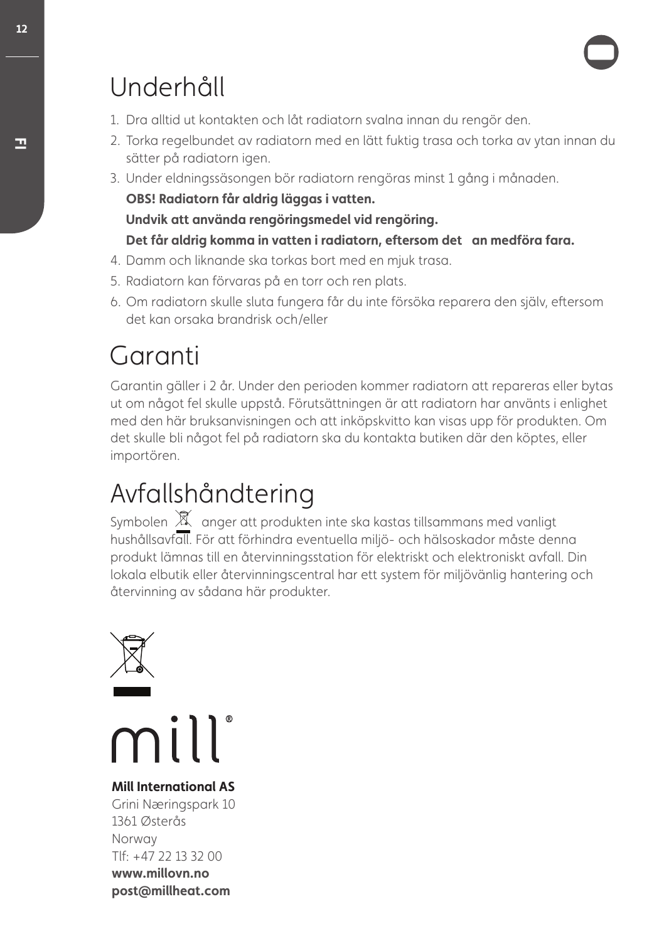# Underhåll

- 1. Dra alltid ut kontakten och låt radiatorn svalna innan du rengör den.
- 2. Torka regelbundet av radiatorn med en lätt fuktig trasa och torka av ytan innan du sätter på radiatorn igen.
- 3. Under eldningssäsongen bör radiatorn rengöras minst 1 gång i månaden.

OBS! Radiatorn får aldrig läggas i vatten.

Undvik att använda rengöringsmedel vid rengöring.

#### Det får aldrig komma in vatten i radiatorn, eftersom det an medföra fara.

- 4. Damm och liknande ska torkas bort med en mjuk trasa.
- 5. Radiatorn kan förvaras på en torr och ren plats.
- 6. Om radiatorn skulle sluta fungera får du inte försöka reparera den själv, efersom det kan orsaka brandrisk och/eller

# Garanti

Garantin gäller i 2 år. Under den perioden kommer radiatorn att repareras eller bytas ut om något fel skulle uppstå. Förutsättningen är att radiatorn har använts i enlighet med den här bruksanvisningen och att inköpskvitto kan visas upp för produkten. Om det skulle bli något fel på radiatorn ska du kontakta butiken där den köptes, eller importören.

# Avfallshåndtering

Symbolen  $\mathbb X$  anger att produkten inte ska kastas tillsammans med vanligt hushållsavfall. För att förhindra eventuella miljö- och hälsoskador måste denna produkt lämnas till en återvinningsstation för elektriskt och elektroniskt avfall. Din lokala elbutik eller återvinningscentral har ett system för miljövänlig hantering och återvinning av sådana här produkter.



mill

**Mill International AS** Grini Næringspark 10 1361 Østerås Norway Tlf: +47 22 13 32 00 www.millovn.no post@millheat.com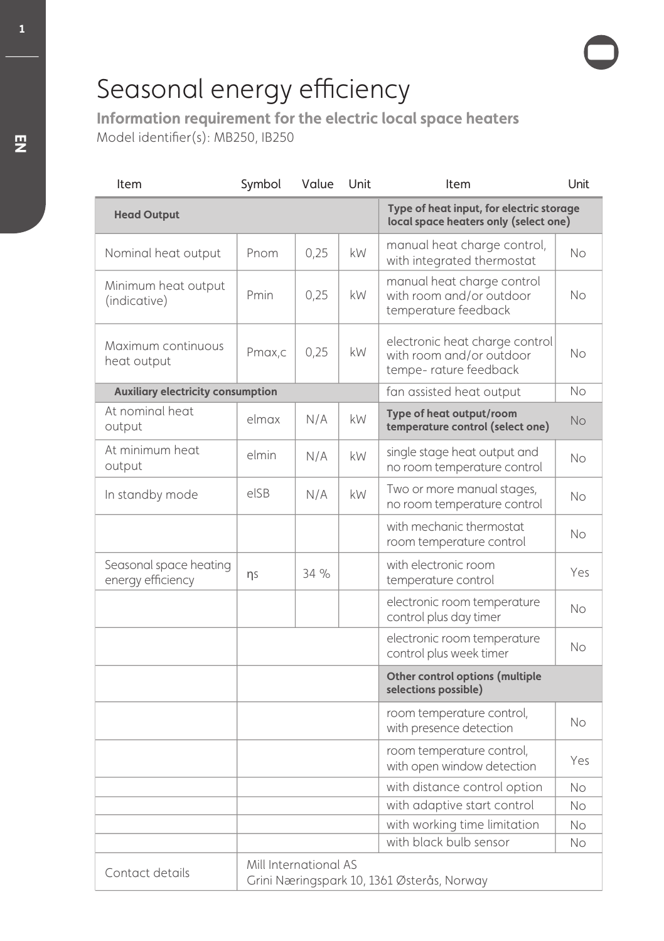Model identifier(s): MB250, IB250 **Information requirement for the electric local space heaters**

| Item                                        | Symbol                                                              | Value | Unit | Item                                                                                 | Unit      |  |
|---------------------------------------------|---------------------------------------------------------------------|-------|------|--------------------------------------------------------------------------------------|-----------|--|
| <b>Head Output</b>                          |                                                                     |       |      | Type of heat input, for electric storage<br>local space heaters only (select one)    |           |  |
| Nominal heat output                         | Pnom                                                                | 0.25  | kW   | manual heat charge control,<br>with integrated thermostat                            | <b>No</b> |  |
| Minimum heat output<br>(indicative)         | Pmin                                                                | 0,25  | kW   | manual heat charge control<br>with room and/or outdoor<br>temperature feedback       | No        |  |
| Maximum continuous<br>heat output           | Pmax,c                                                              | 0.25  | kW   | electronic heat charge control<br>with room and/or outdoor<br>tempe- rature feedback | No        |  |
| <b>Auxiliary electricity consumption</b>    |                                                                     |       |      | fan assisted heat output                                                             | No        |  |
| At nominal heat<br>output                   | elmax                                                               | N/A   | kW   | Type of heat output/room<br>temperature control (select one)                         | No        |  |
| At minimum heat<br>output                   | elmin                                                               | N/A   | kW   | single stage heat output and<br>no room temperature control                          | <b>No</b> |  |
| In standby mode                             | elSB                                                                | N/A   | kW   | Two or more manual stages,<br>no room temperature control                            | <b>No</b> |  |
|                                             |                                                                     |       |      | with mechanic thermostat<br>room temperature control                                 | No.       |  |
| Seasonal space heating<br>energy efficiency | ns                                                                  | 34%   |      | with electronic room<br>temperature control                                          | Yes       |  |
|                                             |                                                                     |       |      | electronic room temperature<br>control plus day timer                                | <b>No</b> |  |
|                                             |                                                                     |       |      | electronic room temperature<br>control plus week timer                               | No.       |  |
|                                             |                                                                     |       |      | Other control options (multiple<br>selections possible)                              |           |  |
|                                             |                                                                     |       |      | room temperature control,<br>with presence detection                                 | No        |  |
|                                             |                                                                     |       |      | room temperature control,<br>with open window detection                              | Yes       |  |
|                                             |                                                                     |       |      | with distance control option                                                         | No        |  |
|                                             |                                                                     |       |      | with adaptive start control                                                          | No        |  |
|                                             |                                                                     |       |      | with working time limitation                                                         | No        |  |
|                                             |                                                                     |       |      | with black bulb sensor                                                               | No        |  |
| Contact details                             | Mill International AS<br>Grini Næringspark 10, 1361 Østerås, Norway |       |      |                                                                                      |           |  |

**1**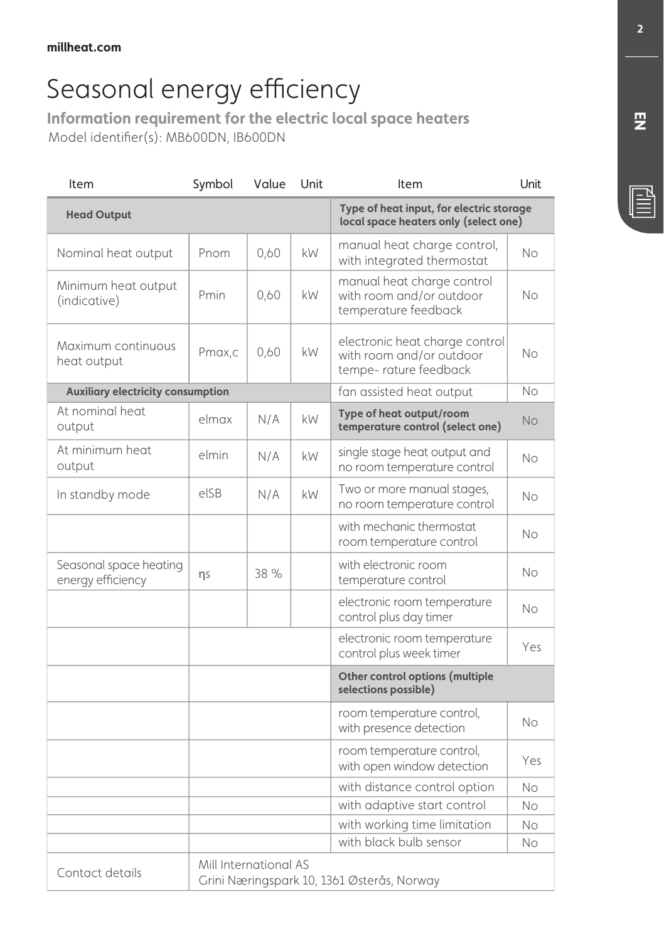**Information requirement for the electric local space heaters** Model identifier(s): MB600DN, IB600DN

| Item                                        | Symbol | Value                                                               | Unit      | Item                                                                                 | Unit      |  |  |
|---------------------------------------------|--------|---------------------------------------------------------------------|-----------|--------------------------------------------------------------------------------------|-----------|--|--|
| <b>Head Output</b>                          |        |                                                                     |           | Type of heat input, for electric storage<br>local space heaters only (select one)    |           |  |  |
| Nominal heat output                         | Pnom   | 0,60                                                                | kW        | manual heat charge control,<br>with integrated thermostat                            | No        |  |  |
| Minimum heat output<br>(indicative)         | Pmin   | 0,60                                                                | kW        | manual heat charge control<br>with room and/or outdoor<br>temperature feedback       | No        |  |  |
| Maximum continuous<br>heat output           | Pmax,c | 0,60                                                                | kW        | electronic heat charge control<br>with room and/or outdoor<br>tempe- rature feedback | No        |  |  |
| <b>Auxiliary electricity consumption</b>    |        |                                                                     |           | fan assisted heat output                                                             | No        |  |  |
| At nominal heat<br>output                   | elmax  | N/A                                                                 | kW        | Type of heat output/room<br>temperature control (select one)                         | <b>No</b> |  |  |
| At minimum heat<br>output                   | elmin  | N/A                                                                 | kW        | single stage heat output and<br>no room temperature control                          | No        |  |  |
| In standby mode                             | elSB   | N/A                                                                 | <b>kW</b> | Two or more manual stages,<br>no room temperature control                            | No        |  |  |
|                                             |        |                                                                     |           | with mechanic thermostat<br>room temperature control                                 | No        |  |  |
| Seasonal space heating<br>energy efficiency | ns     | 38 %                                                                |           | with electronic room<br>temperature control                                          | No        |  |  |
|                                             |        |                                                                     |           | electronic room temperature<br>control plus day timer                                | No        |  |  |
|                                             |        |                                                                     |           | electronic room temperature<br>control plus week timer                               | Yes       |  |  |
|                                             |        |                                                                     |           | Other control options (multiple<br>selections possible)                              |           |  |  |
|                                             |        |                                                                     |           | room temperature control,<br>with presence detection                                 | No        |  |  |
|                                             |        |                                                                     |           | room temperature control,<br>with open window detection                              | Yes       |  |  |
|                                             |        |                                                                     |           | with distance control option                                                         | No        |  |  |
|                                             |        |                                                                     |           | with adaptive start control                                                          | No        |  |  |
|                                             |        |                                                                     |           | with working time limitation                                                         | No        |  |  |
|                                             |        |                                                                     |           | with black bulb sensor                                                               | No        |  |  |
| Contact details                             |        | Mill International AS<br>Grini Næringspark 10, 1361 Østerås, Norway |           |                                                                                      |           |  |  |

**EN**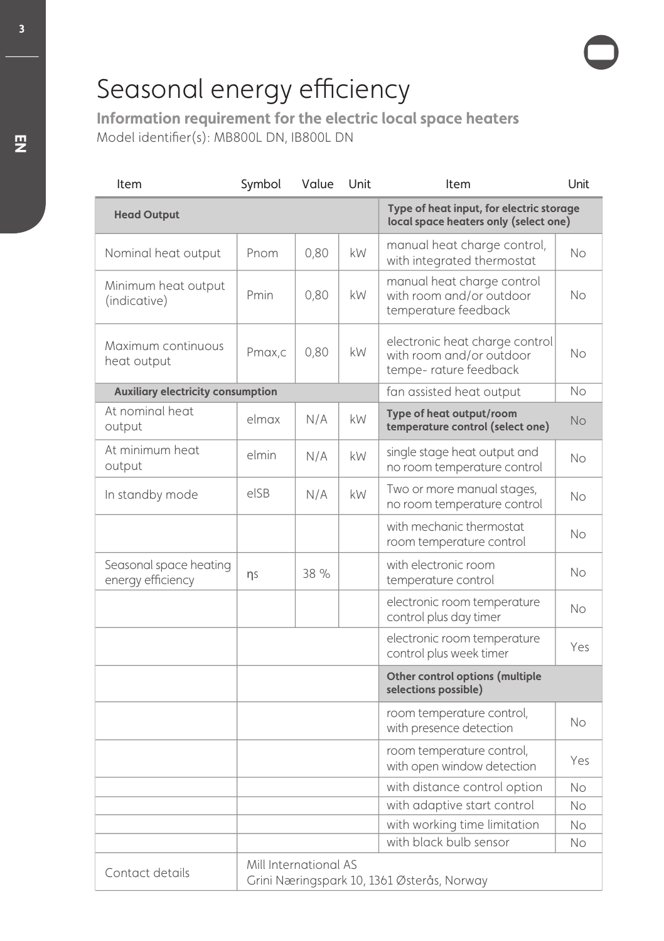Model identifier(s): MB800L DN, IB800L DN **Information requirement for the electric local space heaters**

| Item                                        | Symbol                                                              | Value | Unit | Item                                                                                 | Unit      |  |
|---------------------------------------------|---------------------------------------------------------------------|-------|------|--------------------------------------------------------------------------------------|-----------|--|
| <b>Head Output</b>                          |                                                                     |       |      | Type of heat input, for electric storage<br>local space heaters only (select one)    |           |  |
| Nominal heat output                         | Pnom                                                                | 0,80  | kW   | manual heat charge control,<br>with integrated thermostat                            | No        |  |
| Minimum heat output<br>(indicative)         | Pmin                                                                | 0,80  | kW   | manual heat charge control<br>with room and/or outdoor<br>temperature feedback       | No        |  |
| Maximum continuous<br>heat output           | Pmax,c                                                              | 0,80  | kW   | electronic heat charge control<br>with room and/or outdoor<br>tempe- rature feedback | No        |  |
| <b>Auxiliary electricity consumption</b>    |                                                                     |       |      | fan assisted heat output                                                             | No        |  |
| At nominal heat<br>output                   | elmax                                                               | N/A   | kW   | Type of heat output/room<br>temperature control (select one)                         | No        |  |
| At minimum heat<br>output                   | elmin                                                               | N/A   | kW   | single stage heat output and<br>no room temperature control                          | <b>No</b> |  |
| In standby mode                             | elSB                                                                | N/A   | kW   | Two or more manual stages,<br>no room temperature control                            | No.       |  |
|                                             |                                                                     |       |      | with mechanic thermostat<br>room temperature control                                 | No.       |  |
| Seasonal space heating<br>energy efficiency | ηs                                                                  | 38 %  |      | with electronic room<br>temperature control                                          | No        |  |
|                                             |                                                                     |       |      | electronic room temperature<br>control plus day timer                                | No        |  |
|                                             |                                                                     |       |      | electronic room temperature<br>control plus week timer                               | Yes       |  |
|                                             |                                                                     |       |      | Other control options (multiple<br>selections possible)                              |           |  |
|                                             |                                                                     |       |      | room temperature control,<br>with presence detection                                 | No        |  |
|                                             |                                                                     |       |      | room temperature control,<br>with open window detection                              | Yes       |  |
|                                             |                                                                     |       |      | with distance control option                                                         | No.       |  |
|                                             |                                                                     |       |      | with adaptive start control                                                          | No        |  |
|                                             |                                                                     |       |      | with working time limitation                                                         | No        |  |
|                                             |                                                                     |       |      | with black bulb sensor                                                               | No        |  |
| Contact details                             | Mill International AS<br>Grini Næringspark 10, 1361 Østerås, Norway |       |      |                                                                                      |           |  |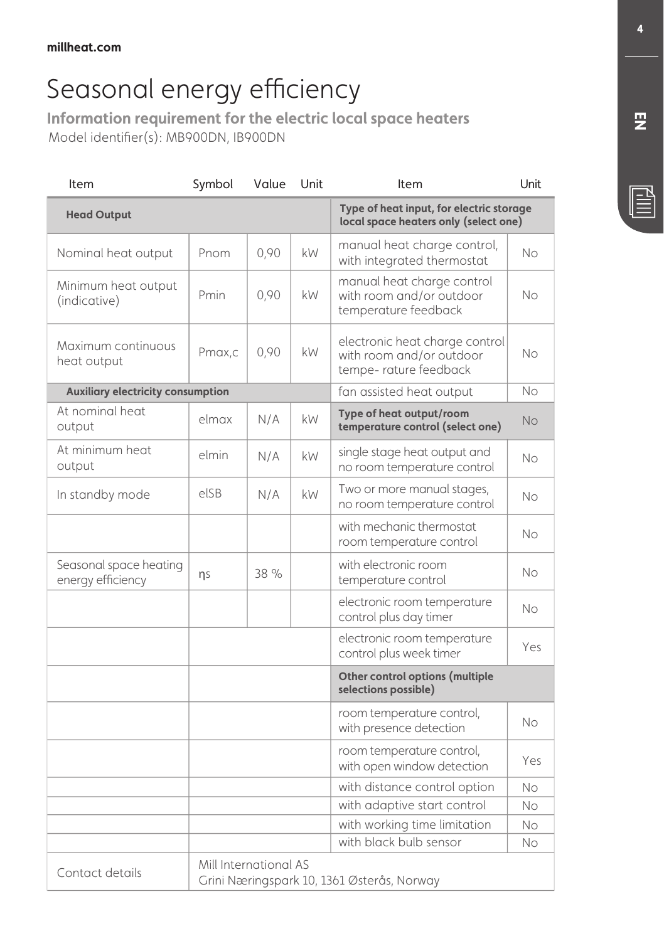**Information requirement for the electric local space heaters** Model identifier(s): MB900DN, IB900DN

| Item                                        | Symbol | Value                                                               | Unit | Item                                                                                 | Unit      |  |  |
|---------------------------------------------|--------|---------------------------------------------------------------------|------|--------------------------------------------------------------------------------------|-----------|--|--|
| <b>Head Output</b>                          |        |                                                                     |      | Type of heat input, for electric storage<br>local space heaters only (select one)    |           |  |  |
| Nominal heat output                         | Pnom   | 0,90                                                                | kW   | manual heat charge control,<br>with integrated thermostat                            | No        |  |  |
| Minimum heat output<br>(indicative)         | Pmin   | 0,90                                                                | kW   | manual heat charge control<br>with room and/or outdoor<br>temperature feedback       | No        |  |  |
| Maximum continuous<br>heat output           | Pmax,c | 0,90                                                                | kW   | electronic heat charge control<br>with room and/or outdoor<br>tempe- rature feedback | No        |  |  |
| <b>Auxiliary electricity consumption</b>    |        |                                                                     |      | fan assisted heat output                                                             | No        |  |  |
| At nominal heat<br>output                   | elmax  | N/A                                                                 | kW   | Type of heat output/room<br>temperature control (select one)                         | <b>No</b> |  |  |
| At minimum heat<br>output                   | elmin  | N/A                                                                 | kW.  | single stage heat output and<br>no room temperature control                          | No        |  |  |
| In standby mode                             | elSB   | N/A                                                                 | kW   | Two or more manual stages,<br>no room temperature control                            | No        |  |  |
|                                             |        |                                                                     |      | with mechanic thermostat<br>room temperature control                                 | No        |  |  |
| Seasonal space heating<br>energy efficiency | ns     | 38 %                                                                |      | with electronic room<br>temperature control                                          | No        |  |  |
|                                             |        |                                                                     |      | electronic room temperature<br>control plus day timer                                | No        |  |  |
|                                             |        |                                                                     |      | electronic room temperature<br>control plus week timer                               | Yes       |  |  |
|                                             |        |                                                                     |      | Other control options (multiple<br>selections possible)                              |           |  |  |
|                                             |        |                                                                     |      | room temperature control,<br>with presence detection                                 | No        |  |  |
|                                             |        |                                                                     |      | room temperature control,<br>with open window detection                              | Yes       |  |  |
|                                             |        |                                                                     |      | with distance control option                                                         | No        |  |  |
|                                             |        |                                                                     |      | with adaptive start control                                                          | No        |  |  |
|                                             |        |                                                                     |      | with working time limitation                                                         | No        |  |  |
|                                             |        |                                                                     |      | with black bulb sensor                                                               | No        |  |  |
| Contact details                             |        | Mill International AS<br>Grini Næringspark 10, 1361 Østerås, Norway |      |                                                                                      |           |  |  |

**EN**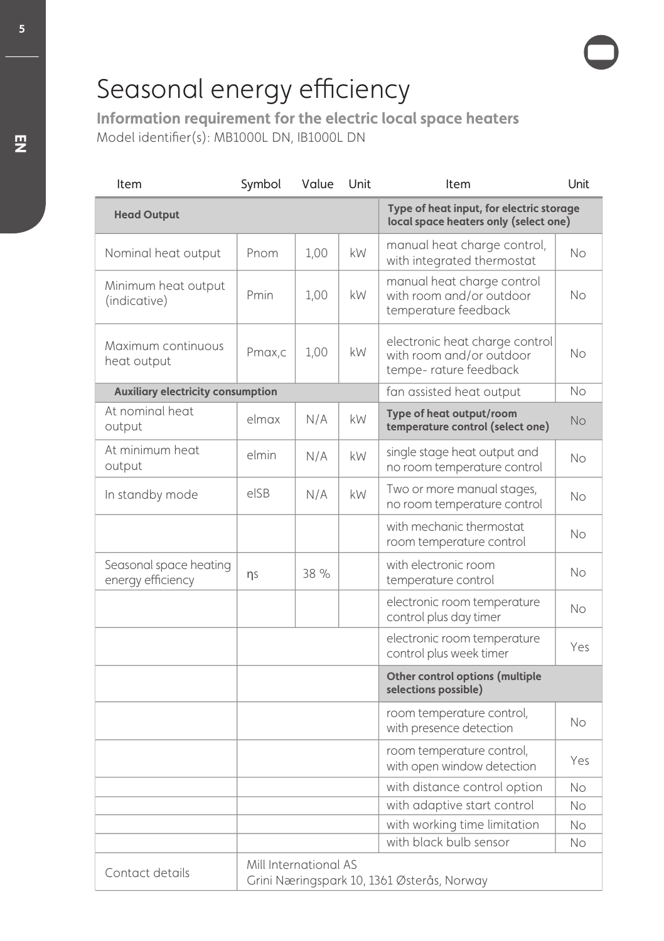Model identifier(s): MB1000L DN, IB1000L DN **Information requirement for the electric local space heaters**

| Item                                        | Symbol                                                              | Value | Unit | Item                                                                                 | Unit      |  |
|---------------------------------------------|---------------------------------------------------------------------|-------|------|--------------------------------------------------------------------------------------|-----------|--|
| <b>Head Output</b>                          |                                                                     |       |      | Type of heat input, for electric storage<br>local space heaters only (select one)    |           |  |
| Nominal heat output                         | Pnom                                                                | 1.00  | kW   | manual heat charge control,<br>with integrated thermostat                            | No        |  |
| Minimum heat output<br>(indicative)         | Pmin                                                                | 1,00  | kW   | manual heat charge control<br>with room and/or outdoor<br>temperature feedback       | No        |  |
| Maximum continuous<br>heat output           | Pmax,c                                                              | 1,00  | kW   | electronic heat charge control<br>with room and/or outdoor<br>tempe- rature feedback | No        |  |
| <b>Auxiliary electricity consumption</b>    |                                                                     |       |      | fan assisted heat output                                                             | No        |  |
| At nominal heat<br>output                   | elmax                                                               | N/A   | kW   | Type of heat output/room<br>temperature control (select one)                         | No        |  |
| At minimum heat<br>output                   | elmin                                                               | N/A   | kW   | single stage heat output and<br>no room temperature control                          | No        |  |
| In standby mode                             | elSB                                                                | N/A   | kW   | Two or more manual stages,<br>no room temperature control                            | No.       |  |
|                                             |                                                                     |       |      | with mechanic thermostat<br>room temperature control                                 | <b>No</b> |  |
| Seasonal space heating<br>energy efficiency | ns                                                                  | 38 %  |      | with electronic room<br>temperature control                                          | No.       |  |
|                                             |                                                                     |       |      | electronic room temperature<br>control plus day timer                                | No        |  |
|                                             |                                                                     |       |      | electronic room temperature<br>control plus week timer                               | Yes       |  |
|                                             |                                                                     |       |      | Other control options (multiple<br>selections possible)                              |           |  |
|                                             |                                                                     |       |      | room temperature control,<br>with presence detection                                 | No        |  |
|                                             |                                                                     |       |      | room temperature control,<br>with open window detection                              | Yes       |  |
|                                             |                                                                     |       |      | with distance control option                                                         | No        |  |
|                                             |                                                                     |       |      | with adaptive start control                                                          | No        |  |
|                                             |                                                                     |       |      | with working time limitation                                                         | No        |  |
|                                             |                                                                     |       |      | with black bulb sensor                                                               | No        |  |
| Contact details                             | Mill International AS<br>Grini Næringspark 10, 1361 Østerås, Norway |       |      |                                                                                      |           |  |